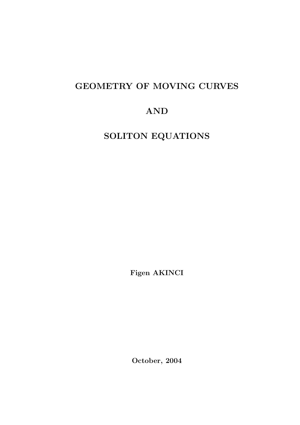# GEOMETRY OF MOVING CURVES

# AND

SOLITON EQUATIONS

Figen AKINCI

October, 2004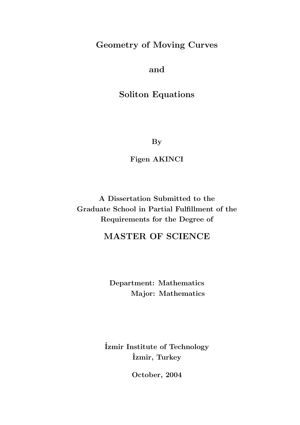## Geometry of Moving Curves

and

Soliton Equations

By

Figen AKINCI

A Dissertation Submitted to the Graduate School in Partial Fulfillment of the Requirements for the Degree of

## MASTER OF SCIENCE

Department: Mathematics Major: Mathematics

˙Izmir Institute of Technology ˙Izmir, Turkey

October, 2004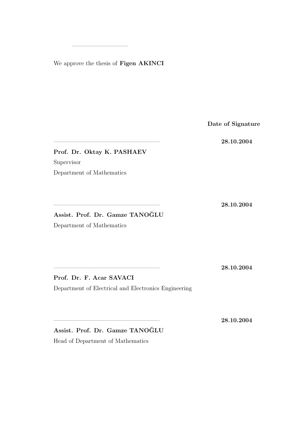We approve the thesis of Figen AKINCI

—————————–

Date of Signature

—————————————————— 28.10.2004

Prof. Dr. Oktay K. PASHAEV Supervisor Department of Mathematics

—————————————————— 28.10.2004

Assist. Prof. Dr. Gamze TANOĞLU

Department of Mathematics

—————————————————— 28.10.2004

Prof. Dr. F. Acar SAVACI Department of Electrical and Electronics Engineering

—————————————————— 28.10.2004

Assist. Prof. Dr. Gamze TANOĞLU Head of Department of Mathematics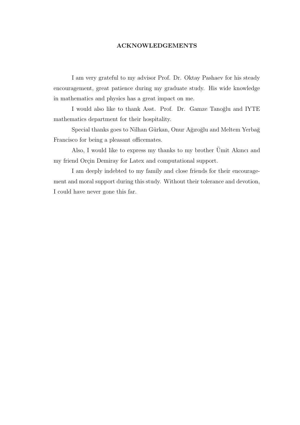#### ACKNOWLEDGEMENTS

I am very grateful to my advisor Prof. Dr. Oktay Pashaev for his steady encouragement, great patience during my graduate study. His wide knowledge in mathematics and physics has a great impact on me.

I would also like to thank Asst. Prof. Dr. Gamze Tanoğlu and IYTE mathematics department for their hospitality.

Special thanks goes to Nilhan Gürkan, Onur Ağıroğlu and Meltem Yerbağ Francisco for being a pleasant officemates.

Also, I would like to express my thanks to my brother  $\ddot{U}$  mit Akinci and my friend Orçin Demiray for Latex and computational support.

I am deeply indebted to my family and close friends for their encouragement and moral support during this study. Without their tolerance and devotion, I could have never gone this far.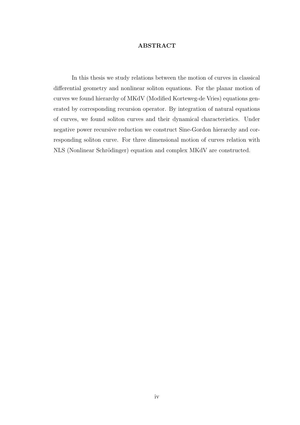#### ABSTRACT

In this thesis we study relations between the motion of curves in classical differential geometry and nonlinear soliton equations. For the planar motion of curves we found hierarchy of MKdV (Modified Korteweg-de Vries) equations generated by corresponding recursion operator. By integration of natural equations of curves, we found soliton curves and their dynamical characteristics. Under negative power recursive reduction we construct Sine-Gordon hierarchy and corresponding soliton curve. For three dimensional motion of curves relation with NLS (Nonlinear Schrödinger) equation and complex MKdV are constructed.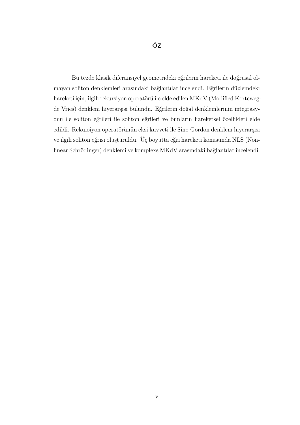Bu tezde klasik diferansiyel geometrideki eğrilerin hareketi ile doğrusal olmayan soliton denklemleri arasındaki bağlantılar incelendi. Eğrilerin düzlemdeki hareketi için, ilgili rekursiyon operatörü ile elde edilen MKdV (Modified Kortewegde Vries) denklem hiyerarşisi bulundu. Eğrilerin doğal denklemlerinin integrasyonu ile soliton eğrileri ile soliton eğrileri ve bunların hareketsel özellikleri elde edildi. Rekursiyon operatörünün eksi kuvveti ile Sine-Gordon denklem hiyerarşisi ve ilgili soliton eğrisi oluşturuldu. Üç boyutta eğri hareketi konusunda NLS (Nonlinear Schrödinger) denklemi ve komplexs MKdV arasındaki bağlantılar incelendi.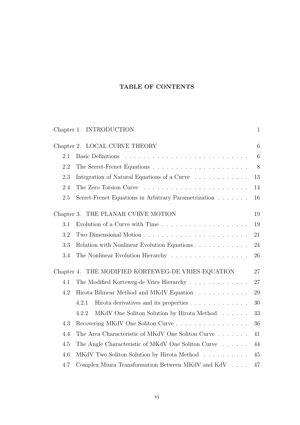### TABLE OF CONTENTS

|            | Chapter 1. INTRODUCTION                                                    | $\mathbf{1}$    |
|------------|----------------------------------------------------------------------------|-----------------|
|            | Chapter 2. LOCAL CURVE THEORY                                              | 6               |
| 2.1        |                                                                            | $6\phantom{.}6$ |
| 2.2        |                                                                            | $8\,$           |
| 2.3        | Integration of Natural Equations of a Curve                                | 13              |
| 2.4        |                                                                            | 14              |
| 2.5        | Serret-Frenet Equations in Arbitrary Parametrization                       | 16              |
| Chapter 3. | THE PLANAR CURVE MOTION                                                    | 19              |
| 3.1        | Evolution of a Curve with Time $\ldots \ldots \ldots \ldots \ldots \ldots$ | 19              |
| 3.2        |                                                                            | 21              |
| 3.3        |                                                                            | 24              |
| 3.4        | The Nonlinear Evolution Hierarchy                                          | 26              |
|            | Chapter 4. THE MODIFIED KORTEWEG-DE VRIES EQUATION                         | 27              |
| 4.1        | The Modified Korteweg-de Vries Hierarchy                                   | 27              |
| 4.2        | Hirota Bilinear Method and MKdV Equation                                   | 29              |
|            | 4.2.1<br>Hirota derivatives and its properties                             | 30              |
|            | 4.2.2<br>MKdV One Soliton Solution by Hirota Method                        | 33              |
| 4.3        | Recovering MKdV One Soliton Curve                                          | 36              |
| 4.4        | The Area Characteristic of MKdV One Soliton Curve                          | 41              |
| 4.5        | The Angle Characteristic of MKdV One Soliton Curve                         | 44              |
| 4.6        | MKdV Two Soliton Solution by Hirota Method                                 | 45              |
| 4.7        | Complex Miura Transformation Between MKdV and KdV $\ldots$ .               | 47              |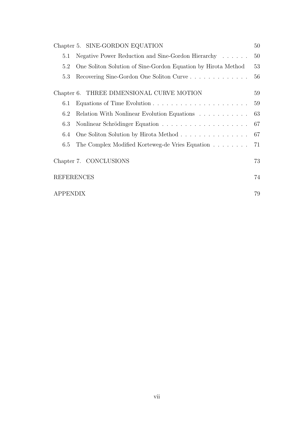| Chapter 5. SINE-GORDON EQUATION                                      | 50 |
|----------------------------------------------------------------------|----|
| Negative Power Reduction and Sine-Gordon Hierarchy<br>5.1            | 50 |
| One Soliton Solution of Sine-Gordon Equation by Hirota Method<br>5.2 | 53 |
| Recovering Sine-Gordon One Soliton Curve<br>5.3                      | 56 |
| Chapter 6. THREE DIMENSIONAL CURVE MOTION                            | 59 |
| 6.1                                                                  | 59 |
| Relation With Nonlinear Evolution Equations<br>6.2                   | 63 |
| 6.3                                                                  | 67 |
| One Soliton Solution by Hirota Method<br>6.4                         | 67 |
| The Complex Modified Korteweg-de Vries Equation<br>6.5               | 71 |
| Chapter 7. CONCLUSIONS                                               |    |
| <b>REFERENCES</b>                                                    |    |
| <i><b>APPENDIX</b></i>                                               |    |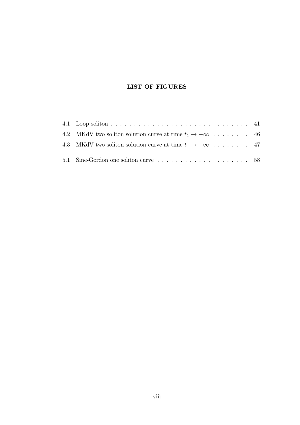### LIST OF FIGURES

| 4.2 MKdV two soliton solution curve at time $t_1 \rightarrow -\infty$ 46 |  |
|--------------------------------------------------------------------------|--|
| 4.3 MKdV two soliton solution curve at time $t_1 \rightarrow +\infty$ 47 |  |
|                                                                          |  |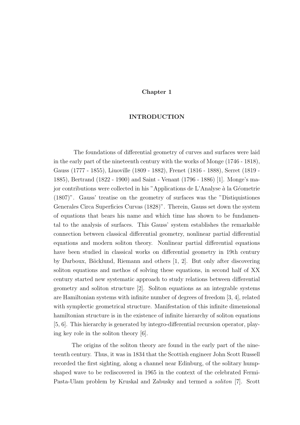#### Chapter 1

#### INTRODUCTION

The foundations of differential geometry of curves and surfaces were laid in the early part of the nineteenth century with the works of Monge (1746 - 1818), Gauss (1777 - 1855), Liuoville (1809 - 1882), Frenet (1816 - 1888), Serret (1819 - 1885), Bertrand (1822 - 1900) and Saint - Venant (1796 - 1886) [1]. Monge's major contributions were collected in his "Applications de L'Analyse à la Géometrie (1807)". Gauss' treatise on the geometry of surfaces was the "Distiquistiones Generales Circa Superficies Curvas (1828)". Therein, Gauss set down the system of equations that bears his name and which time has shown to be fundamental to the analysis of surfaces. This Gauss' system establishes the remarkable connection between classical differential geometry, nonlinear partial differential equations and modern soliton theory. Nonlinear partial differential equations have been studied in classical works on differential geometry in 19th century by Darboux, Bäcklund, Riemann and others [1, 2]. But only after discovering soliton equations and methos of solving these equations, in second half of XX century started new systematic approach to study relations between differential geometry and soliton structure [2]. Soliton equations as an integrable systems are Hamiltonian systems with infinite number of degrees of freedom [3, 4], related with symplectic geometrical structure. Manifestation of this infinite dimensional hamiltonian structure is in the existence of infinite hierarchy of soliton equations [5, 6]. This hierarchy is generated by integro-differential recursion operator, playing key role in the soliton theory [6].

The origins of the soliton theory are found in the early part of the nineteenth century. Thus, it was in 1834 that the Scottish engineer John Scott Russell recorded the first sighting, along a channel near Edinburg, of the solitary humpshaped wave to be rediscovered in 1965 in the context of the celebrated Fermi-Pasta-Ulam problem by Kruskal and Zabusky and termed a soliton [7]. Scott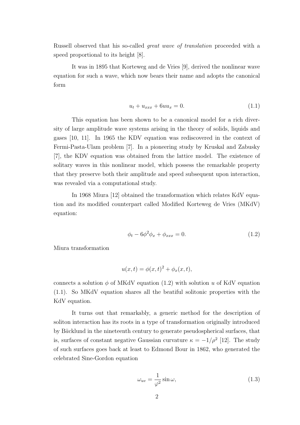Russell observed that his so-called great wave of translation proceeded with a speed proportional to its height [8].

It was in 1895 that Korteweg and de Vries [9], derived the nonlinear wave equation for such a wave, which now bears their name and adopts the canonical form

$$
u_t + u_{xxx} + 6uu_x = 0.
$$
 (1.1)

This equation has been shown to be a canonical model for a rich diversity of large amplitude wave systems arising in the theory of solids, liquids and gases [10, 11]. In 1965 the KDV equation was rediscovered in the context of Fermi-Pasta-Ulam problem [7]. In a pioneering study by Kruskal and Zabusky [7], the KDV equation was obtained from the lattice model. The existence of solitary waves in this nonlinear model, which possess the remarkable property that they preserve both their amplitude and speed subsequent upon interaction, was revealed via a computational study.

In 1968 Miura [12] obtained the transformation which relates KdV equation and its modified counterpart called Modified Korteweg de Vries (MKdV) equation:

$$
\phi_t - 6\phi^2 \phi_x + \phi_{xxx} = 0.
$$
\n(1.2)

Miura transformation

$$
u(x,t) = \phi(x,t)^2 + \phi_x(x,t),
$$

connects a solution  $\phi$  of MKdV equation (1.2) with solution u of KdV equation (1.1). So MKdV equation shares all the beatiful solitonic properties with the KdV equation.

It turns out that remarkably, a generic method for the description of soliton interaction has its roots in a type of transformation originally introduced by Ba¨cklund in the nineteenth century to generate pseudospherical surfaces, that is, surfaces of constant negative Gaussian curvature  $\kappa = -1/\rho^2$  [12]. The study of such surfaces goes back at least to Edmond Bour in 1862, who generated the celebrated Sine-Gordon equation

$$
\omega_{uv} = \frac{1}{\varphi^2} \sin \omega, \tag{1.3}
$$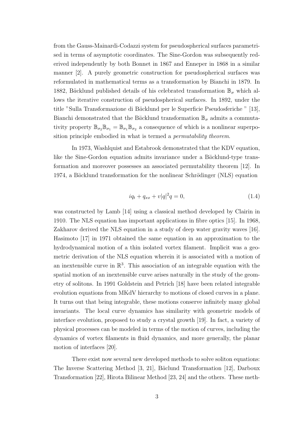from the Gauss-Mainardi-Codazzi system for pseudospherical surfaces parametrised in terms of asymptotic coordinates. The Sine-Gordon was subsequently rederived independently by both Bonnet in 1867 and Enneper in 1868 in a similar manner [2]. A purely geometric construction for pseudospherical surfaces was reformulated in mathematical terms as a transformation by Bianchi in 1879. In 1882, Bäcklund published details of his celebrated transformation  $\mathbb{B}_{\sigma}$  which allows the iterative construction of pseudospherical surfaces. In 1892, under the title "Sulla Transformazione di Bäcklund per le Superficie Pseudosferiche " [13], Bianchi demonstrated that the Bäcklund transformation  $\mathbb{B}_{\sigma}$  admits a commutativity property  $\mathbb{B}_{\sigma_2}\mathbb{B}_{\sigma_1} = \mathbb{B}_{\sigma_1}\mathbb{B}_{\sigma_2}$  a consequence of which is a nonlinear superposition principle embodied in what is termed a permutability theorem.

In 1973, Washlquist and Estabrook demonstrated that the KDV equation, like the Sine-Gordon equation admits invariance under a Bäcklund-type transformation and moreover possesses an associated permutability theorem [12]. In 1974, a Bäcklund transformation for the nonlinear Schrödinger (NLS) equation

$$
iq_t + q_{xx} + v|q|^2 q = 0,
$$
\n(1.4)

was constructed by Lamb [14] using a classical method developed by Clairin in 1910. The NLS equation has important applications in fibre optics [15]. In 1968, Zakharov derived the NLS equation in a study of deep water gravity waves [16]. Hasimoto [17] in 1971 obtained the same equation in an approximation to the hydrodynamical motion of a thin isolated vortex filament. Implicit was a geometric derivation of the NLS equation wherein it is associated with a motion of an inextensible curve in  $\mathbb{R}^3$ . This association of an integrable equation with the spatial motion of an inextensible curve arises naturally in the study of the geometry of solitons. In 1991 Goldstein and Petrich [18] have been related integrable evolution equations from MKdV hierarchy to motions of closed curves in a plane. It turns out that being integrable, these motions conserve infinitely many global invariants. The local curve dynamics has similarity with geometric models of interface evolution, proposed to study a crystal growth [19]. In fact, a variety of physical processes can be modeled in terms of the motion of curves, including the dynamics of vortex filaments in fluid dynamics, and more generally, the planar motion of interfaces [20].

There exist now several new developed methods to solve soliton equations: The Inverse Scattering Method [3, 21], Bäclund Transformation [12], Darboux Transformation [22], Hirota Bilinear Method [23, 24] and the others. These meth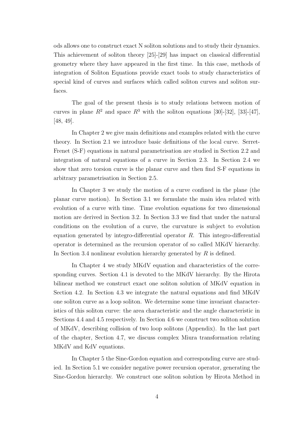ods allows one to construct exact N soliton solutions and to study their dynamics. This achievement of soliton theory [25]-[29] has impact on classical differential geometry where they have appeared in the first time. In this case, methods of integration of Soliton Equations provide exact tools to study characteristics of special kind of curves and surfaces which called soliton curves and soliton surfaces.

The goal of the present thesis is to study relations between motion of curves in plane  $R^2$  and space  $R^3$  with the soliton equations [30]-[32], [33]-[47], [48, 49].

In Chapter 2 we give main definitions and examples related with the curve theory. In Section 2.1 we introduce basic definitions of the local curve. Serret-Frenet (S-F) equations in natural parametrisation are studied in Section 2.2 and integration of natural equations of a curve in Section 2.3. In Section 2.4 we show that zero torsion curve is the planar curve and then find S-F equations in arbitrary parametrisation in Section 2.5.

In Chapter 3 we study the motion of a curve confined in the plane (the planar curve motion). In Section 3.1 we formulate the main idea related with evolution of a curve with time. Time evolution equations for two dimensional motion are derived in Section 3.2. In Section 3.3 we find that under the natural conditions on the evolution of a curve, the curvature is subject to evolution equation generated by integro-differential operator  $R$ . This integro-differential operator is determined as the recursion operator of so called MKdV hierarchy. In Section 3.4 nonlinear evolution hierarchy generated by  $R$  is defined.

In Chapter 4 we study MKdV equation and characteristics of the corresponding curves. Section 4.1 is devoted to the MKdV hierarchy. By the Hirota bilinear method we construct exact one soliton solution of MKdV equation in Section 4.2. In Section 4.3 we integrate the natural equations and find MKdV one soliton curve as a loop soliton. We determine some time invariant characteristics of this soliton curve: the area characteristic and the angle characteristic in Sections 4.4 and 4.5 respectively. In Section 4.6 we construct two soliton solution of MKdV, describing collision of two loop solitons (Appendix). In the last part of the chapter, Section 4.7, we discuss complex Miura transformation relating MKdV and KdV equations.

In Chapter 5 the Sine-Gordon equation and corresponding curve are studied. In Section 5.1 we consider negative power recursion operator, generating the Sine-Gordon hierarchy. We construct one soliton solution by Hirota Method in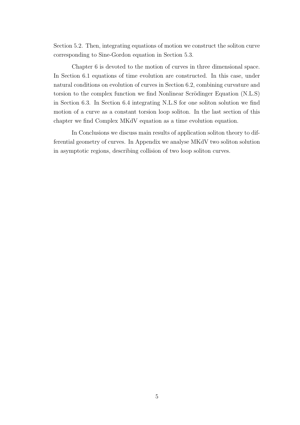Section 5.2. Then, integrating equations of motion we construct the soliton curve corresponding to Sine-Gordon equation in Section 5.3.

Chapter 6 is devoted to the motion of curves in three dimensional space. In Section 6.1 equations of time evolution are constructed. In this case, under natural conditions on evolution of curves in Section 6.2, combining curvature and torsion to the complex function we find Nonlinear Scrödinger Equation (N.L.S) in Section 6.3. In Section 6.4 integrating N.L.S for one soliton solution we find motion of a curve as a constant torsion loop soliton. In the last section of this chapter we find Complex MKdV equation as a time evolution equation.

In Conclusions we discuss main results of application soliton theory to differential geometry of curves. In Appendix we analyse MKdV two soliton solution in asymptotic regions, describing collision of two loop soliton curves.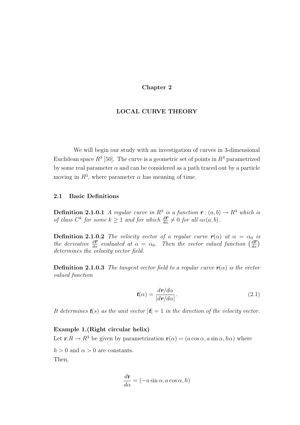#### Chapter 2

#### LOCAL CURVE THEORY

We will begin our study with an investigation of curves in 3-dimensional Euclidean space  $R^3$  [50]. The curve is a geometric set of points in  $R^3$  parametrized by some real parameter  $\alpha$  and can be considered as a path traced out by a particle moving in  $R^3$ , where parameter  $\alpha$  has meaning of time.

#### 2.1 Basic Definitions

**Definition 2.1.0.1** A regular curve in  $R^3$  is a function  $\mathbf{r} : (a, b) \to R^3$  which is of class  $C^k$  for some  $k \geq 1$  and for which  $\frac{d\mathbf{r}}{d\alpha} \neq 0$  for all  $\alpha\epsilon(a, b)$ .

**Definition 2.1.0.2** The velocity vector of a regular curve  $r(\alpha)$  at  $\alpha = \alpha_0$  is the derivative  $\frac{d\mathbf{r}}{d\alpha}$  evaluated at  $\alpha = \alpha_0$ . Then the vector valued function  $\left(\frac{d\mathbf{r}}{d\alpha}\right)$ determines the velocity vector field.

**Definition 2.1.0.3** The tangent vector field to a regular curve  $r(\alpha)$  is the vector valued function

$$
t(\alpha) = \frac{d\mathbf{r}/d\alpha}{|d\mathbf{r}/d\alpha|}.
$$
 (2.1)

It determines  $t(s)$  as the unit vector  $|t| = 1$  in the direction of the velocity vector.

#### Example 1.(Right circular helix)

Let  $\mathbf{r}:R\to R^3$  be given by parametrization  $\mathbf{r}(\alpha)=(a\cos\alpha,a\sin\alpha,h\alpha)$  where

 $h > 0$  and  $\alpha > 0$  are constants.

Then,

$$
\frac{d\mathbf{r}}{d\alpha} = (-a\sin\alpha, a\cos\alpha, h)
$$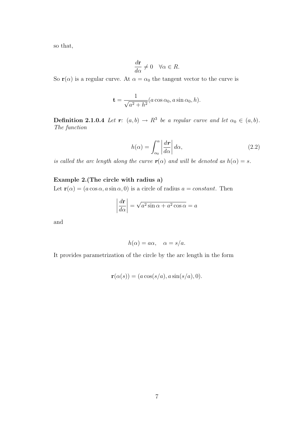so that,

$$
\frac{d\mathbf{r}}{d\alpha}\neq 0\quad \forall \alpha\in R.
$$

So **r**( $\alpha$ ) is a regular curve. At  $\alpha = \alpha_0$  the tangent vector to the curve is

$$
\mathbf{t} = \frac{1}{\sqrt{a^2 + h^2}} (a \cos \alpha_0, a \sin \alpha_0, h).
$$

**Definition 2.1.0.4** Let  $r: (a, b) \rightarrow R^3$  be a regular curve and let  $\alpha_0 \in (a, b)$ . The function

$$
h(\alpha) = \int_{\alpha_0}^{\alpha} \left| \frac{d\mathbf{r}}{d\alpha} \right| d\alpha, \tag{2.2}
$$

is called the arc length along the curve  $\mathbf{r}(\alpha)$  and will be denoted as  $h(\alpha) = s$ .

#### Example 2.(The circle with radius a)

Let  $\mathbf{r}(\alpha) = (a \cos \alpha, a \sin \alpha, 0)$  is a circle of radius  $a = constant$ . Then

$$
\left| \frac{d\mathbf{r}}{d\alpha} \right| = \sqrt{a^2 \sin \alpha + a^2 \cos \alpha} = a
$$

and

$$
h(\alpha) = a\alpha, \quad \alpha = s/a.
$$

It provides parametrization of the circle by the arc length in the form

$$
\mathbf{r}(\alpha(s)) = (a\cos(s/a), a\sin(s/a), 0).
$$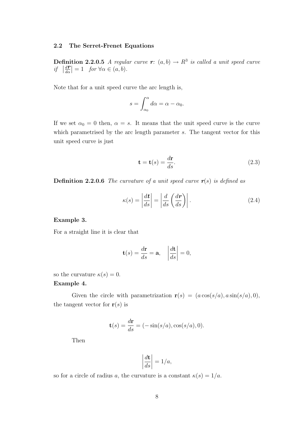#### 2.2 The Serret-Frenet Equations

**Definition 2.2.0.5** A regular curve  $r: (a, b) \rightarrow R^3$  is called a unit speed curve  $if \mid$  $\frac{d\boldsymbol{r}}{d\alpha}\Big| = 1$  for  $\forall \alpha \in (a, b)$ .

Note that for a unit speed curve the arc length is,

$$
s = \int_{\alpha_0}^{\alpha} d\alpha = \alpha - \alpha_0.
$$

If we set  $\alpha_0 = 0$  then,  $\alpha = s$ . It means that the unit speed curve is the curve which parametrised by the arc length parameter s. The tangent vector for this unit speed curve is just

$$
\mathbf{t} = \mathbf{t}(s) = \frac{d\mathbf{r}}{ds}.
$$
 (2.3)

**Definition 2.2.0.6** The curvature of a unit speed curve  $r(s)$  is defined as

$$
\kappa(s) = \left| \frac{d\mathbf{t}}{ds} \right| = \left| \frac{d}{ds} \left( \frac{d\mathbf{r}}{ds} \right) \right|.
$$
 (2.4)

#### Example 3.

For a straight line it is clear that

$$
\mathbf{t}(s) = \frac{d\mathbf{r}}{ds} = \mathbf{a}, \quad \left| \frac{d\mathbf{t}}{ds} \right| = 0,
$$

so the curvature  $\kappa(s) = 0$ .

#### Example 4.

Given the circle with parametrization  $r(s) = (a \cos(s/a), a \sin(s/a), 0)$ , the tangent vector for  $r(s)$  is

$$
\mathbf{t}(s) = \frac{d\mathbf{r}}{ds} = (-\sin(s/a), \cos(s/a), 0).
$$

Then

$$
\left|\frac{d\mathbf{t}}{ds}\right| = 1/a,
$$

so for a circle of radius a, the curvature is a constant  $\kappa(s) = 1/a$ .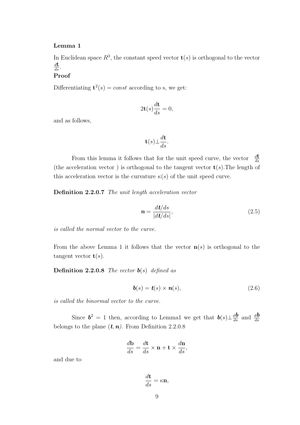#### Lemma 1

In Euclidean space  $R^3$ , the constant speed vector  $\mathbf{t}(s)$  is orthogonal to the vector  $rac{d\mathbf{t}}{ds}$ .

#### Proof

Differentiating  $t^2(s) = const$  according to s, we get:

$$
2\mathbf{t}(s)\frac{d\mathbf{t}}{ds} = 0,
$$

and as follows,

$$
\mathbf{t}(s) \bot \frac{d\mathbf{t}}{ds}.
$$

From this lemma it follows that for the unit speed curve, the vector  $\frac{d\mathbf{t}}{ds}$ (the acceleration vector) is orthogonal to the tangent vector  $\mathbf{t}(s)$ . The length of this acceleration vector is the curvature  $\kappa(s)$  of the unit speed curve.

Definition 2.2.0.7 The unit length acceleration vector

$$
n = \frac{dt/ds}{|dt/ds|},\tag{2.5}
$$

is called the normal vector to the curve.

From the above Lemma 1 it follows that the vector  $\mathbf{n}(s)$  is orthogonal to the tangent vector  $\mathbf{t}(s)$ .

**Definition 2.2.0.8** The vector  $\mathbf{b}(s)$  defined as

$$
\boldsymbol{b}(s) = \boldsymbol{t}(s) \times \boldsymbol{n}(s), \tag{2.6}
$$

is called the binormal vector to the curve.

Since  $\mathbf{b}^2 = 1$  then, according to Lemma1 we get that  $\mathbf{b}(s) \perp \frac{d\mathbf{b}}{ds}$  and  $\frac{d\mathbf{b}}{ds}$ belongs to the plane  $(t, n)$ . From Definition 2.2.0.8

$$
\frac{d\mathbf{b}}{ds} = \frac{d\mathbf{t}}{ds} \times \mathbf{n} + \mathbf{t} \times \frac{d\mathbf{n}}{ds},
$$

and due to

$$
\frac{d\mathbf{t}}{ds} = \kappa \mathbf{n},
$$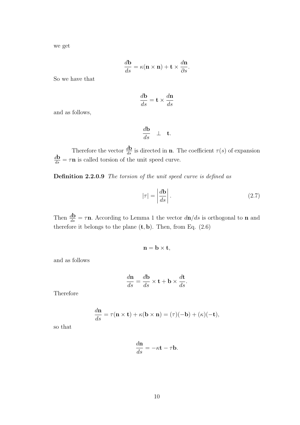we get

$$
\frac{d\mathbf{b}}{ds} = \kappa(\mathbf{n} \times \mathbf{n}) + \mathbf{t} \times \frac{d\mathbf{n}}{\partial s}.
$$

So we have that

$$
\frac{d\mathbf{b}}{ds} = \mathbf{t} \times \frac{d\mathbf{n}}{ds}
$$

and as follows,

$$
\frac{d\mathbf{b}}{ds} \perp \mathbf{t}.
$$

Therefore the vector  $\frac{d\mathbf{b}}{ds}$  is directed in **n**. The coefficient  $\tau(s)$  of expansion  $\frac{d\mathbf{b}}{ds} = \tau \mathbf{n}$  is called torsion of the unit speed curve.

Definition 2.2.0.9 The torsion of the unit speed curve is defined as

$$
|\tau| = \left| \frac{d\mathbf{b}}{ds} \right|.
$$
 (2.7)

Then  $\frac{d\mathbf{b}}{ds} = \tau \mathbf{n}$ . According to Lemma 1 the vector  $d\mathbf{n}/ds$  is orthogonal to **n** and therefore it belongs to the plane  $(t, b)$ . Then, from Eq.  $(2.6)$ 

$$
\mathbf{n}=\mathbf{b}\times\mathbf{t},
$$

and as follows

$$
\frac{d\mathbf{n}}{ds} = \frac{d\mathbf{b}}{ds} \times \mathbf{t} + \mathbf{b} \times \frac{d\mathbf{t}}{ds}.
$$

Therefore

$$
\frac{d\mathbf{n}}{ds} = \tau(\mathbf{n} \times \mathbf{t}) + \kappa(\mathbf{b} \times \mathbf{n}) = (\tau)(-\mathbf{b}) + (\kappa)(-\mathbf{t}),
$$

so that

$$
\frac{d\mathbf{n}}{ds} = -\kappa \mathbf{t} - \tau \mathbf{b}.
$$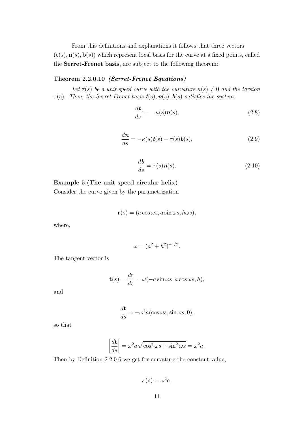From this definitions and explanations it follows that three vectors  $(\mathbf{t}(s), \mathbf{n}(s), \mathbf{b}(s))$  which represent local basis for the curve at a fixed points, called the Serret-Frenet basis, are subject to the following theorem:

#### Theorem 2.2.0.10 (Serret-Frenet Equations)

Let  $r(s)$  be a unit speed curve with the curvature  $\kappa(s) \neq 0$  and the torsion  $\tau(s)$ . Then, the Serret-Frenet basis  $t(s)$ ,  $n(s)$ ,  $b(s)$  satisfies the system:

$$
\frac{d\mathbf{t}}{ds} = \kappa(s)\mathbf{n}(s),\tag{2.8}
$$

$$
\frac{d\mathbf{n}}{ds} = -\kappa(s)\mathbf{t}(s) - \tau(s)\mathbf{b}(s),\tag{2.9}
$$

$$
\frac{d\mathbf{b}}{ds} = \tau(s)\mathbf{n}(s). \tag{2.10}
$$

#### Example 5.(The unit speed circular helix)

Consider the curve given by the parametrization

$$
\mathbf{r}(s) = (a\cos\omega s, a\sin\omega s, h\omega s),
$$

where,

$$
\omega = (a^2 + h^2)^{-1/2}.
$$

The tangent vector is

$$
\mathbf{t}(s) = \frac{d\mathbf{r}}{ds} = \omega(-a\sin\omega s, a\cos\omega s, h),
$$

and

$$
\frac{d\mathbf{t}}{ds} = -\omega^2 a(\cos \omega s, \sin \omega s, 0),
$$

so that

$$
\left|\frac{d\mathbf{t}}{ds}\right| = \omega^2 a \sqrt{\cos^2 \omega s + \sin^2 \omega s} = \omega^2 a.
$$

Then by Definition 2.2.0.6 we get for curvature the constant value,

 $\kappa(s) = \omega^2 a,$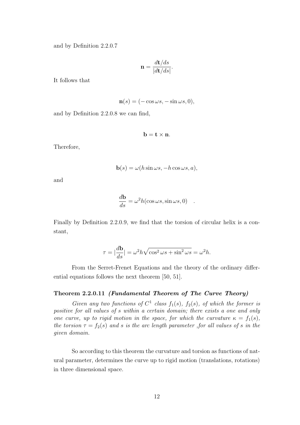and by Definition 2.2.0.7

$$
\mathbf{n} = \frac{d\mathbf{t}/ds}{|d\mathbf{t}/ds|}.
$$

It follows that

$$
\mathbf{n}(s) = (-\cos\omega s, -\sin\omega s, 0),
$$

and by Definition 2.2.0.8 we can find,

 $\mathbf{b} = \mathbf{t} \times \mathbf{n}$ .

Therefore,

$$
\mathbf{b}(s) = \omega(h\sin\omega s, -h\cos\omega s, a),
$$

and

$$
\frac{d\mathbf{b}}{ds} = \omega^2 h(\cos \omega s, \sin \omega s, 0) .
$$

Finally by Definition 2.2.0.9, we find that the torsion of circular helix is a constant,

$$
\tau = |\frac{d\mathbf{b}}{ds}| = \omega^2 h \sqrt{\cos^2 \omega s + \sin^2 \omega s} = \omega^2 h.
$$

From the Serret-Frenet Equations and the theory of the ordinary differential equations follows the next theorem [50, 51].

#### Theorem 2.2.0.11 (Fundamental Theorem of The Curve Theory)

Given any two functions of  $C^1$  class  $f_1(s)$ ,  $f_2(s)$ , of which the former is positive for all values of s within a certain domain; there exists a one and only one curve, up to rigid motion in the space, for which the curvature  $\kappa = f_1(s)$ , the torsion  $\tau = f_2(s)$  and s is the arc length parameter , for all values of s in the given domain.

So according to this theorem the curvature and torsion as functions of natural parameter, determines the curve up to rigid motion (translations, rotations) in three dimensional space.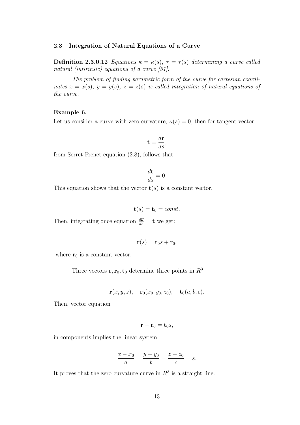#### 2.3 Integration of Natural Equations of a Curve

Definition 2.3.0.12 Equations  $\kappa = \kappa(s)$ ,  $\tau = \tau(s)$  determining a curve called natural (intirinsic) equations of a curve [51].

The problem of finding parametric form of the curve for cartesian coordinates  $x = x(s)$ ,  $y = y(s)$ ,  $z = z(s)$  is called integration of natural equations of the curve.

#### Example 6.

Let us consider a curve with zero curvature,  $\kappa(s) = 0$ , then for tangent vector

$$
\mathbf{t} = \frac{d\mathbf{r}}{ds},
$$

from Serret-Frenet equation (2.8), follows that

$$
\frac{d\mathbf{t}}{ds} = 0.
$$

This equation shows that the vector  $\mathbf{t}(s)$  is a constant vector,

$$
\mathbf{t}(s) = \mathbf{t}_0 = const.
$$

Then, integrating once equation  $\frac{d\mathbf{r}}{ds} = \mathbf{t}$  we get:

$$
\mathbf{r}(s) = \mathbf{t}_0 s + \mathbf{r}_0.
$$

where  $\mathbf{r}_0$  is a constant vector.

Three vectors  $\mathbf{r}, \mathbf{r}_0, \mathbf{t}_0$  determine three points in  $R^3$ :

$$
\mathbf{r}(x, y, z), \quad \mathbf{r}_0(x_0, y_0, z_0), \quad \mathbf{t}_0(a, b, c).
$$

Then, vector equation

$$
\mathbf{r}-\mathbf{r}_0=\mathbf{t}_0 s,
$$

in components implies the linear system

$$
\frac{x - x_0}{a} = \frac{y - y_0}{b} = \frac{z - z_0}{c} = s.
$$

It proves that the zero curvature curve in  $R<sup>3</sup>$  is a straight line.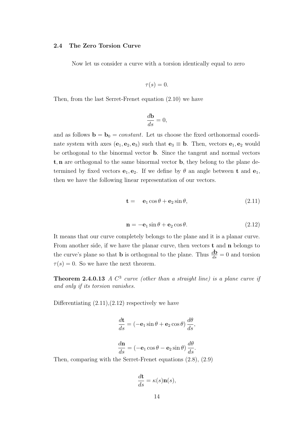#### 2.4 The Zero Torsion Curve

Now let us consider a curve with a torsion identically equal to zero

$$
\tau(s)=0.
$$

Then, from the last Serret-Frenet equation (2.10) we have

$$
\frac{d\mathbf{b}}{ds} = 0,
$$

and as follows  $\mathbf{b} = \mathbf{b}_0 = constant$ . Let us choose the fixed orthonormal coordinate system with axes  $(e_1, e_2, e_3)$  such that  $e_3 \equiv b$ . Then, vectors  $e_1, e_2$  would be orthogonal to the binormal vector b. Since the tangent and normal vectors t, n are orthogonal to the same binormal vector b, they belong to the plane determined by fixed vectors  $e_1, e_2$ . If we define by  $\theta$  an angle between **t** and  $e_1$ , then we have the following linear representation of our vectors.

$$
\mathbf{t} = \mathbf{e}_1 \cos \theta + \mathbf{e}_2 \sin \theta, \tag{2.11}
$$

$$
\mathbf{n} = -\mathbf{e}_1 \sin \theta + \mathbf{e}_2 \cos \theta. \tag{2.12}
$$

It means that our curve completely belongs to the plane and it is a planar curve. From another side, if we have the planar curve, then vectors  $t$  and  $n$  belongs to the curve's plane so that **b** is orthogonal to the plane. Thus  $\frac{d\mathbf{b}}{ds} = 0$  and torsion  $\tau(s) = 0$ . So we have the next theorem.

**Theorem 2.4.0.13** A  $C^3$  curve (other than a straight line) is a plane curve if and only if its torsion vanishes.

Differentiating  $(2.11),(2.12)$  respectively we have

$$
\frac{d\mathbf{t}}{ds} = (-\mathbf{e}_1 \sin \theta + \mathbf{e}_2 \cos \theta) \frac{d\theta}{ds},
$$

$$
\frac{d\mathbf{n}}{ds} = (-\mathbf{e}_1 \cos \theta - \mathbf{e}_2 \sin \theta) \frac{d\theta}{ds}.
$$

Then, comparing with the Serret-Frenet equations (2.8), (2.9)

$$
\frac{d\mathbf{t}}{ds} = \kappa(s)\mathbf{n}(s),
$$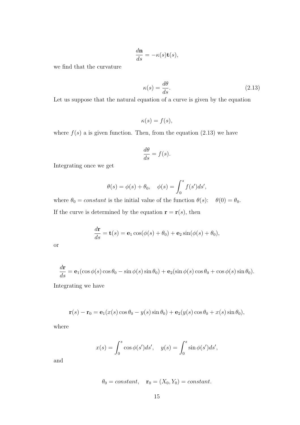$$
\frac{d\mathbf{n}}{ds} = -\kappa(s)\mathbf{t}(s),
$$

we find that the curvature

$$
\kappa(s) = \frac{d\theta}{ds}.\tag{2.13}
$$

Let us suppose that the natural equation of a curve is given by the equation

$$
\kappa(s) = f(s),
$$

where  $f(s)$  a is given function. Then, from the equation (2.13) we have

$$
\frac{d\theta}{ds} = f(s).
$$

Integrating once we get

$$
\theta(s) = \phi(s) + \theta_0, \quad \phi(s) = \int_0^s f(s')ds',
$$

where  $\theta_0 = constant$  is the initial value of the function  $\theta(s)$ :  $\theta(0) = \theta_0$ . If the curve is determined by the equation  $\mathbf{r} = \mathbf{r}(s)$ , then

$$
\frac{d\mathbf{r}}{ds} = \mathbf{t}(s) = \mathbf{e}_1 \cos(\phi(s) + \theta_0) + \mathbf{e}_2 \sin(\phi(s) + \theta_0),
$$

or

$$
\frac{d\mathbf{r}}{ds} = \mathbf{e}_1(\cos\phi(s)\cos\theta_0 - \sin\phi(s)\sin\theta_0) + \mathbf{e}_2(\sin\phi(s)\cos\theta_0 + \cos\phi(s)\sin\theta_0).
$$

Integrating we have

$$
\mathbf{r}(s) - \mathbf{r}_0 = \mathbf{e}_1(x(s)\cos\theta_0 - y(s)\sin\theta_0) + \mathbf{e}_2(y(s)\cos\theta_0 + x(s)\sin\theta_0),
$$

where

$$
x(s) = \int_0^s \cos \phi(s')ds', \quad y(s) = \int_0^s \sin \phi(s')ds',
$$

and

$$
\theta_0 = constant
$$
,  $\mathbf{r}_0 = (X_0, Y_0) = constant$ .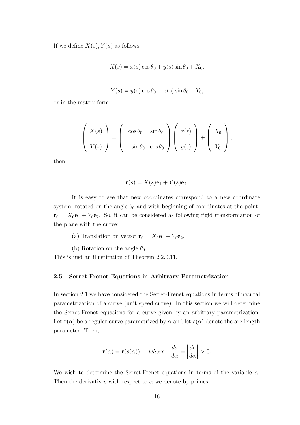If we define  $X(s)$ ,  $Y(s)$  as follows

$$
X(s) = x(s)\cos\theta_0 + y(s)\sin\theta_0 + X_0,
$$

$$
Y(s) = y(s)\cos\theta_0 - x(s)\sin\theta_0 + Y_0,
$$

or in the matrix form

$$
\left(\begin{array}{c} X(s) \\ Y(s) \end{array}\right) = \left(\begin{array}{cc} \cos \theta_0 & \sin \theta_0 \\ -\sin \theta_0 & \cos \theta_0 \end{array}\right) \left(\begin{array}{c} x(s) \\ y(s) \end{array}\right) + \left(\begin{array}{c} X_0 \\ Y_0 \end{array}\right),
$$

then

$$
\mathbf{r}(s) = X(s)\mathbf{e}_1 + Y(s)\mathbf{e}_2.
$$

It is easy to see that new coordinates correspond to a new coordinate system, rotated on the angle  $\theta_0$  and with beginning of coordinates at the point  $\mathbf{r}_0 = X_0 \mathbf{e}_1 + Y_0 \mathbf{e}_2$ . So, it can be considered as following rigid transformation of the plane with the curve:

(a) Translation on vector  $\mathbf{r}_0 = X_0 \mathbf{e}_1 + Y_0 \mathbf{e}_2$ ,

(b) Rotation on the angle  $\theta_0$ .

This is just an illustiration of Theorem 2.2.0.11.

#### 2.5 Serret-Frenet Equations in Arbitrary Parametrization

In section 2.1 we have considered the Serret-Frenet equations in terms of natural parametrization of a curve (unit speed curve). In this section we will determine the Serret-Frenet equations for a curve given by an arbitrary parametrization. Let  $\mathbf{r}(\alpha)$  be a regular curve parametrized by  $\alpha$  and let  $s(\alpha)$  denote the arc length parameter. Then,

$$
\mathbf{r}(\alpha) = \mathbf{r}(s(\alpha)), \quad where \quad \frac{ds}{d\alpha} = \left| \frac{d\mathbf{r}}{d\alpha} \right| > 0.
$$

We wish to determine the Serret-Frenet equations in terms of the variable  $\alpha$ . Then the derivatives with respect to  $\alpha$  we denote by primes: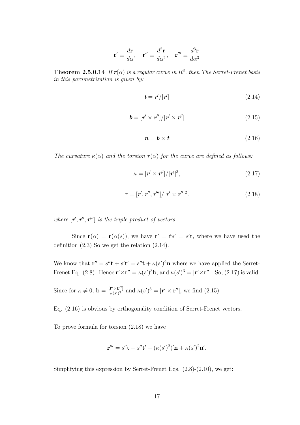$$
\mathbf{r}' \equiv \frac{d\mathbf{r}}{d\alpha}, \quad \mathbf{r}'' \equiv \frac{d^2\mathbf{r}}{d\alpha^2}, \quad \mathbf{r}''' \equiv \frac{d^3\mathbf{r}}{d\alpha^3}
$$

**Theorem 2.5.0.14** If  $r(\alpha)$  is a regular curve in  $R^3$ , then The Serret-Frenet basis in this parametrization is given by:

$$
t = r'/|r'| \tag{2.14}
$$

$$
\mathbf{b} = [\mathbf{r}' \times \mathbf{r}'']/|\mathbf{r}' \times \mathbf{r}''|
$$
 (2.15)

$$
n = b \times t \tag{2.16}
$$

The curvature  $\kappa(\alpha)$  and the torsion  $\tau(\alpha)$  for the curve are defined as follows:

$$
\kappa = |\mathbf{r}' \times \mathbf{r}''| / |\mathbf{r}'|^3, \tag{2.17}
$$

$$
\tau = [\mathbf{r}', \mathbf{r}'', \mathbf{r}'''] / |\mathbf{r}' \times \mathbf{r}''|^2. \tag{2.18}
$$

where  $[r', r'', r''']$  is the triple product of vectors.

Since  $\mathbf{r}(\alpha) = \mathbf{r}(\alpha(s))$ , we have  $\mathbf{r}' = \dot{\mathbf{r}}s' = s'\mathbf{t}$ , where we have used the definition (2.3) So we get the relation (2.14).

We know that  $\mathbf{r}'' = s''\mathbf{t} + s'\mathbf{t}' = s''\mathbf{t} + \kappa(s')^2\mathbf{n}$  where we have applied the Serret-Frenet Eq. (2.8). Hence  $\mathbf{r}' \times \mathbf{r}'' = \kappa(s')^3 \mathbf{b}$ , and  $\kappa(s')^3 = |\mathbf{r}' \times \mathbf{r}''|$ . So, (2.17) is valid.

Since for 
$$
\kappa \neq 0
$$
,  $\mathbf{b} = \frac{\left[\mathbf{r}' \times \mathbf{r}''\right]}{\kappa(s')^3}$  and  $\kappa(s')^3 = |\mathbf{r}' \times \mathbf{r}''|$ , we find (2.15).

Eq. (2.16) is obvious by orthogonality condition of Serret-Frenet vectors.

To prove formula for torsion (2.18) we have

$$
\mathbf{r}''' = s''\mathbf{t} + s''\mathbf{t}' + (\kappa(s')^{2})'\mathbf{n} + \kappa(s')^{2}\mathbf{n}'.
$$

Simplifying this expression by Serret-Frenet Eqs. (2.8)-(2.10), we get: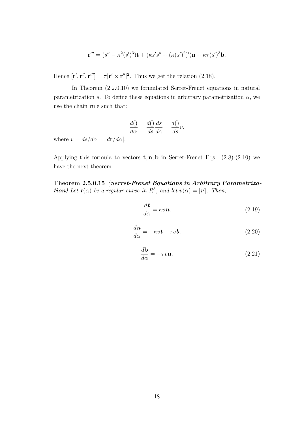$$
\mathbf{r}''' = (s'' - \kappa^2 (s')^3) \mathbf{t} + (\kappa s' s'' + (\kappa (s')^2)') \mathbf{n} + \kappa \tau (s')^3 \mathbf{b}.
$$

Hence  $[\mathbf{r}', \mathbf{r}'', \mathbf{r}'''] = \tau |\mathbf{r}' \times \mathbf{r}''|^2$ . Thus we get the relation (2.18).

In Theorem (2.2.0.10) we formulated Serret-Frenet equations in natural parametrization s. To define these equations in arbitrary parametrization  $\alpha$ , we use the chain rule such that:

$$
\frac{d()}{d\alpha} = \frac{d()}{ds}\frac{ds}{d\alpha} = \frac{d()}{ds}v.
$$

where  $v = ds/d\alpha = |dr/d\alpha|$ .

Applying this formula to vectors  $t, n, b$  in Serret-Frenet Eqs. (2.8)-(2.10) we have the next theorem.

Theorem 2.5.0.15 (Serret-Frenet Equations in Arbitrary Parametriza**tion**) Let  $r(\alpha)$  be a regular curve in  $R^3$ , and let  $v(\alpha) = |r'|$ . Then,

$$
\frac{d\mathbf{t}}{d\alpha} = \kappa v \mathbf{n},\tag{2.19}
$$

$$
\frac{d\mathbf{n}}{d\alpha} = -\kappa v \mathbf{t} + \tau v \mathbf{b},\tag{2.20}
$$

$$
\frac{d\mathbf{b}}{d\alpha} = -\tau v \mathbf{n}.\tag{2.21}
$$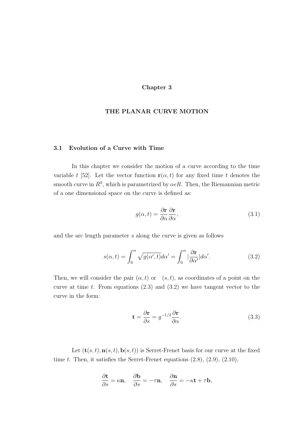#### Chapter 3

#### THE PLANAR CURVE MOTION

#### 3.1 Evolution of a Curve with Time

In this chapter we consider the motion of a curve according to the time variable t [52]. Let the vector function  $r(\alpha, t)$  for any fixed time t denotes the smooth curve in  $R^3$ , which is parametrized by  $\alpha \epsilon R$ . Then, the Riemannian metric of a one dimensional space on the curve is defined as:

$$
g(\alpha, t) = \frac{\partial \mathbf{r}}{\partial \alpha} \frac{\partial \mathbf{r}}{\partial \alpha},\tag{3.1}
$$

and the arc length parameter s along the curve is given as follows

$$
s(\alpha, t) = \int_0^{\alpha} \sqrt{g(\alpha', t)} d\alpha' = \int_0^{\alpha} |\frac{\partial \mathbf{r}}{\partial \alpha'}| d\alpha'. \tag{3.2}
$$

Then, we will consider the pair  $(\alpha, t)$  or  $(s, t)$ , as coordinates of a point on the curve at time t. From equations  $(2.3)$  and  $(3.2)$  we have tangent vector to the curve in the form:

$$
\mathbf{t} = \frac{\partial \mathbf{r}}{\partial s} = g^{-1/2} \frac{\partial \mathbf{r}}{\partial \alpha}.
$$
 (3.3)

Let  $(\mathbf{t}(s,t), \mathbf{n}(s,t), \mathbf{b}(s,t))$  is Serret-Frenet basis for our curve at the fixed time  $t$ . Then, it satisfies the Serret-Frenet equations  $(2.8)$ ,  $(2.9)$ ,  $(2.10)$ ,

$$
\frac{\partial \mathbf{t}}{\partial s} = \kappa \mathbf{n}, \quad \frac{\partial \mathbf{b}}{\partial s} = -\tau \mathbf{n}, \quad \frac{\partial \mathbf{n}}{\partial s} = -\kappa \mathbf{t} + \tau \mathbf{b},
$$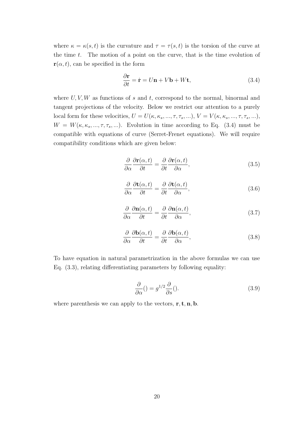where  $\kappa = \kappa(s,t)$  is the curvature and  $\tau = \tau(s,t)$  is the torsion of the curve at the time  $t$ . The motion of a point on the curve, that is the time evolution of  $\mathbf{r}(\alpha,t)$ , can be specified in the form

$$
\frac{\partial \mathbf{r}}{\partial t} = \dot{\mathbf{r}} = U\mathbf{n} + V\mathbf{b} + W\mathbf{t},\tag{3.4}
$$

where  $U, V, W$  as functions of s and t, correspond to the normal, binormal and tangent projections of the velocity. Below we restrict our attention to a purely local form for these velocities,  $U = U(\kappa, \kappa_s, ..., \tau, \tau_s, ...)$ ,  $V = V(\kappa, \kappa_s, ..., \tau, \tau_s, ...)$ ,  $W = W(\kappa, \kappa_s, ..., \tau, \tau_s, ...)$ . Evolution in time according to Eq. (3.4) must be compatible with equations of curve (Serret-Frenet equations). We will require compatibility conditions which are given below:

$$
\frac{\partial}{\partial \alpha} \frac{\partial \mathbf{r}(\alpha, t)}{\partial t} = \frac{\partial}{\partial t} \frac{\partial \mathbf{r}(\alpha, t)}{\partial \alpha},\tag{3.5}
$$

$$
\frac{\partial}{\partial \alpha} \frac{\partial \mathbf{t}(\alpha, t)}{\partial t} = \frac{\partial}{\partial t} \frac{\partial \mathbf{t}(\alpha, t)}{\partial \alpha},\tag{3.6}
$$

$$
\frac{\partial}{\partial \alpha} \frac{\partial \mathbf{n}(\alpha, t)}{\partial t} = \frac{\partial}{\partial t} \frac{\partial \mathbf{n}(\alpha, t)}{\partial \alpha},\tag{3.7}
$$

$$
\frac{\partial}{\partial \alpha} \frac{\partial \mathbf{b}(\alpha, t)}{\partial t} = \frac{\partial}{\partial t} \frac{\partial \mathbf{b}(\alpha, t)}{\partial \alpha},\tag{3.8}
$$

To have equation in natural parametrization in the above formulas we can use Eq. (3.3), relating differentiating parameters by following equality:

$$
\frac{\partial}{\partial \alpha}(x) = g^{1/2} \frac{\partial}{\partial s}(x).
$$
 (3.9)

where parenthesis we can apply to the vectors,  $\mathbf{r}, \mathbf{t}, \mathbf{n}, \mathbf{b}$ .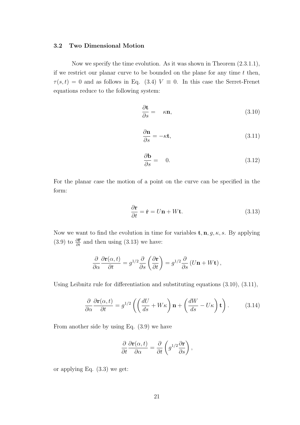#### 3.2 Two Dimensional Motion

Now we specify the time evolution. As it was shown in Theorem (2.3.1.1), if we restrict our planar curve to be bounded on the plane for any time  $t$  then,  $\tau(s,t) = 0$  and as follows in Eq. (3.4)  $V \equiv 0$ . In this case the Serret-Frenet equations reduce to the following system:

$$
\frac{\partial \mathbf{t}}{\partial s} = \kappa \mathbf{n},\tag{3.10}
$$

$$
\frac{\partial \mathbf{n}}{\partial s} = -\kappa \mathbf{t},\tag{3.11}
$$

$$
\frac{\partial \mathbf{b}}{\partial s} = 0. \tag{3.12}
$$

For the planar case the motion of a point on the curve can be specified in the form:

$$
\frac{\partial \mathbf{r}}{\partial t} = \dot{\mathbf{r}} = U\mathbf{n} + W\mathbf{t}.\tag{3.13}
$$

Now we want to find the evolution in time for variables  $\mathbf{t}, \mathbf{n}, g, \kappa, s$ . By applying (3.9) to  $\frac{\partial \mathbf{r}}{\partial t}$  and then using (3.13) we have:

$$
\frac{\partial}{\partial \alpha} \frac{\partial \mathbf{r}(\alpha, t)}{\partial t} = g^{1/2} \frac{\partial}{\partial s} \left( \frac{\partial \mathbf{r}}{\partial t} \right) = g^{1/2} \frac{\partial}{\partial s} \left( U \mathbf{n} + W \mathbf{t} \right),
$$

Using Leibnitz rule for differentiation and substituting equations (3.10), (3.11),

$$
\frac{\partial}{\partial \alpha} \frac{\partial \mathbf{r}(\alpha, t)}{\partial t} = g^{1/2} \left( \left( \frac{dU}{ds} + W\kappa \right) \mathbf{n} + \left( \frac{dW}{ds} - U\kappa \right) \mathbf{t} \right). \tag{3.14}
$$

From another side by using Eq. (3.9) we have

$$
\frac{\partial}{\partial t} \frac{\partial \mathbf{r}(\alpha, t)}{\partial \alpha} = \frac{\partial}{\partial t} \left( g^{1/2} \frac{\partial \mathbf{r}}{\partial s} \right),
$$

or applying Eq. (3.3) we get: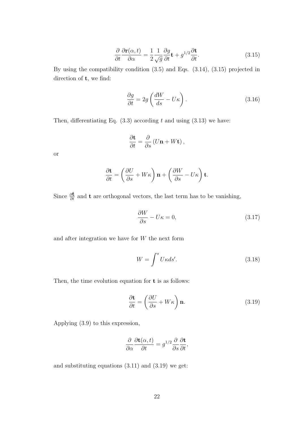$$
\frac{\partial}{\partial t} \frac{\partial \mathbf{r}(\alpha, t)}{\partial \alpha} = \frac{1}{2} \frac{1}{\sqrt{g}} \frac{\partial g}{\partial t} \mathbf{t} + g^{1/2} \frac{\partial \mathbf{t}}{\partial t}.
$$
\n(3.15)

By using the compatibility condition (3.5) and Eqs. (3.14), (3.15) projected in direction of  $t$ , we find:

$$
\frac{\partial g}{\partial t} = 2g \left( \frac{dW}{ds} - U\kappa \right). \tag{3.16}
$$

Then, differentiating Eq.  $(3.3)$  according t and using  $(3.13)$  we have:

$$
\frac{\partial \mathbf{t}}{\partial t} = \frac{\partial}{\partial s} \left( U \mathbf{n} + W \mathbf{t} \right),
$$

or

$$
\frac{\partial \mathbf{t}}{\partial t} = \left(\frac{\partial U}{\partial s} + W\kappa\right)\mathbf{n} + \left(\frac{\partial W}{\partial s} - U\kappa\right)\mathbf{t}.
$$

Since  $\frac{\partial \mathbf{t}}{\partial t}$  and  $\mathbf{t}$  are orthogonal vectors, the last term has to be vanishing,

$$
\frac{\partial W}{\partial s} - U\kappa = 0,\t\t(3.17)
$$

and after integration we have for  $W$  the next form

$$
W = \int^{s} U\kappa ds'. \tag{3.18}
$$

Then, the time evolution equation for **t** is as follows:

$$
\frac{\partial \mathbf{t}}{\partial t} = \left(\frac{\partial U}{\partial s} + W\kappa\right) \mathbf{n}.\tag{3.19}
$$

Applying (3.9) to this expression,

$$
\frac{\partial}{\partial \alpha} \frac{\partial \mathbf{t}(\alpha, t)}{\partial t} = g^{1/2} \frac{\partial}{\partial s} \frac{\partial \mathbf{t}}{\partial t},
$$

and substituting equations (3.11) and (3.19) we get: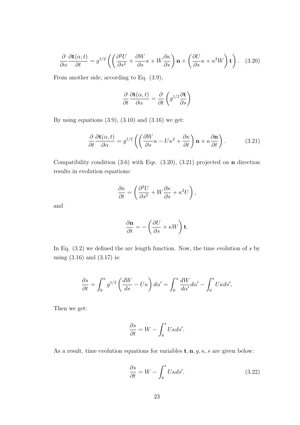$$
\frac{\partial}{\partial \alpha} \frac{\partial \mathbf{t}(\alpha, t)}{\partial t} = g^{1/2} \left( \left( \frac{\partial^2 U}{\partial s^2} + \frac{\partial W}{\partial s} \kappa + W \frac{\partial \kappa}{\partial s} \right) \mathbf{n} + \left( \frac{\partial U}{\partial s} \kappa + \kappa^2 W \right) \mathbf{t} \right). \quad (3.20)
$$

From another side, according to Eq. (3.9),

$$
\frac{\partial}{\partial t} \frac{\partial \mathbf{t}(\alpha, t)}{\partial \alpha} = \frac{\partial}{\partial t} \left( g^{1/2} \frac{\partial \mathbf{t}}{\partial s} \right)
$$

By using equations  $(3.9)$ ,  $(3.10)$  and  $(3.16)$  we get:

$$
\frac{\partial}{\partial t} \frac{\partial \mathbf{t}(\alpha, t)}{\partial \alpha} = g^{1/2} \left( \left( \frac{\partial W}{\partial s} \kappa - U \kappa^2 + \frac{\partial \kappa}{\partial t} \right) \mathbf{n} + \kappa \frac{\partial \mathbf{n}}{\partial t} \right). \tag{3.21}
$$

Compatibility condition  $(3.6)$  with Eqs.  $(3.20)$ ,  $(3.21)$  projected on **n** direction results in evolution equations:

$$
\frac{\partial \kappa}{\partial t} = \left( \frac{\partial^2 U}{\partial s^2} + W \frac{\partial \kappa}{\partial s} + \kappa^2 U \right),\,
$$

and

$$
\frac{\partial \mathbf{n}}{\partial t} = -\left(\frac{\partial U}{\partial s} + \kappa W\right) \mathbf{t}.
$$

In Eq.  $(3.2)$  we defined the arc length function. Now, the time evolution of s by using (3.16) and (3.17) is:

$$
\frac{\partial s}{\partial t} = \int_0^\alpha g^{1/2} \left( \frac{dW}{ds} - U\kappa \right) d\alpha' = \int_0^\alpha \frac{dW}{d\alpha'} d\alpha' - \int_0^s U\kappa ds',
$$

Then we get:

$$
\frac{\partial s}{\partial t} = W - \int_0^s U \kappa ds'.
$$

As a result, time evolution equations for variables  $\mathbf{t}, \mathbf{n}, g, \kappa, s$  are given below:

$$
\frac{\partial s}{\partial t} = W - \int_0^s U \kappa ds'.\tag{3.22}
$$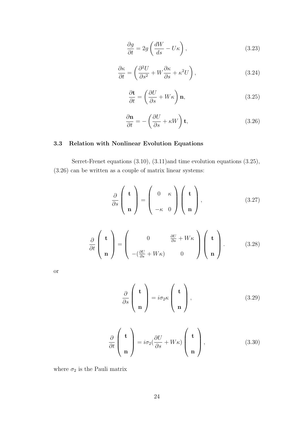$$
\frac{\partial g}{\partial t} = 2g \left( \frac{dW}{ds} - U\kappa \right),\tag{3.23}
$$

$$
\frac{\partial \kappa}{\partial t} = \left(\frac{\partial^2 U}{\partial s^2} + W \frac{\partial \kappa}{\partial s} + \kappa^2 U\right),\tag{3.24}
$$

$$
\frac{\partial \mathbf{t}}{\partial t} = \left(\frac{\partial U}{\partial s} + W\kappa\right)\mathbf{n},\tag{3.25}
$$

$$
\frac{\partial \mathbf{n}}{\partial t} = -\left(\frac{\partial U}{\partial s} + \kappa W\right) \mathbf{t},\tag{3.26}
$$

#### 3.3 Relation with Nonlinear Evolution Equations

Serret-Frenet equations (3.10), (3.11)and time evolution equations (3.25), (3.26) can be written as a couple of matrix linear systems:

$$
\frac{\partial}{\partial s} \left( \begin{array}{c} \mathbf{t} \\ \mathbf{n} \end{array} \right) = \left( \begin{array}{cc} 0 & \kappa \\ -\kappa & 0 \end{array} \right) \left( \begin{array}{c} \mathbf{t} \\ \mathbf{n} \end{array} \right), \tag{3.27}
$$

$$
\frac{\partial}{\partial t}\left(\begin{array}{c}\n\mathbf{t} \\
\mathbf{n}\n\end{array}\right) = \left(\begin{array}{cc}\n0 & \frac{\partial U}{\partial s} + W\kappa \\
-(\frac{\partial U}{\partial s} + W\kappa) & 0\n\end{array}\right) \left(\begin{array}{c}\n\mathbf{t} \\
\mathbf{n}\n\end{array}\right).
$$
(3.28)

or

$$
\frac{\partial}{\partial s} \left( \begin{array}{c} \mathbf{t} \\ \mathbf{n} \end{array} \right) = i \sigma_2 \kappa \left( \begin{array}{c} \mathbf{t} \\ \mathbf{n} \end{array} \right), \tag{3.29}
$$

$$
\frac{\partial}{\partial t}\left(\begin{array}{c}\n\mathbf{t} \\
\mathbf{n}\n\end{array}\right) = i\sigma_2 \left(\frac{\partial U}{\partial s} + W\kappa\right)\left(\begin{array}{c}\n\mathbf{t} \\
\mathbf{n}\n\end{array}\right),\tag{3.30}
$$

where  $\sigma_2$  is the Pauli matrix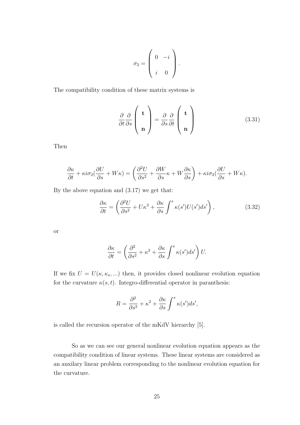$$
\sigma_2 = \left(\begin{array}{cc} 0 & -i \\ i & 0 \end{array}\right).
$$

The compatibility condition of these matrix systems is

$$
\frac{\partial}{\partial t} \frac{\partial}{\partial s} \begin{pmatrix} \mathbf{t} \\ \mathbf{n} \end{pmatrix} = \frac{\partial}{\partial s} \frac{\partial}{\partial t} \begin{pmatrix} \mathbf{t} \\ \mathbf{n} \end{pmatrix}
$$
(3.31)

Then

$$
\frac{\partial \kappa}{\partial t} + \kappa i \sigma_2 (\frac{\partial U}{\partial s} + W\kappa) = \left( \frac{\partial^2 U}{\partial s^2} + \frac{\partial W}{\partial s} \kappa + W \frac{\partial \kappa}{\partial s} \right) + \kappa i \sigma_2 (\frac{\partial U}{\partial s} + W\kappa).
$$

By the above equation and (3.17) we get that:

$$
\frac{\partial \kappa}{\partial t} = \left(\frac{\partial^2 U}{\partial s^2} + U\kappa^2 + \frac{\partial \kappa}{\partial s} \int^s \kappa(s')U(s')ds'\right),\tag{3.32}
$$

or

$$
\frac{\partial \kappa}{\partial t} = \left(\frac{\partial^2}{\partial s^2} + \kappa^2 + \frac{\partial \kappa}{\partial s} \int^s \kappa(s')ds'\right)U.
$$

If we fix  $U = U(\kappa, \kappa_s, ...)$  then, it provides closed nonlinear evolution equation for the curvature  $\kappa(s,t)$ . Integro-differential operator in paranthesis:

$$
R = \frac{\partial^2}{\partial s^2} + \kappa^2 + \frac{\partial \kappa}{\partial s} \int^s \kappa(s')ds',
$$

is called the recursion operator of the mKdV hierarchy [5].

So as we can see our general nonlinear evolution equation appears as the compatibility condition of linear systems. These linear systems are considered as an auxilary linear problem corresponding to the nonlinear evolution equation for the curvature.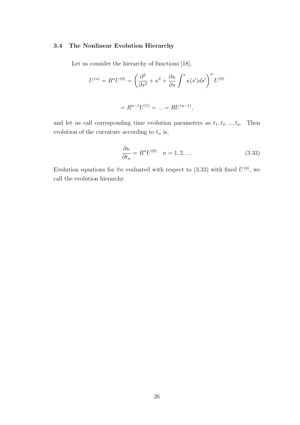#### 3.4 The Nonlinear Evolution Hierarchy

Let us consider the hierarchy of functions [18],

$$
U^{(n)} = R^n U^{(0)} = \left(\frac{\partial^2}{\partial s^2} + \kappa^2 + \frac{\partial \kappa}{\partial s} \int^s \kappa(s') ds'\right)^n U^{(0)}
$$

$$
= R^{n-1} U^{(1)} = \dots = R U^{(n-1)},
$$

and let us call corresponding time evolution parameters as  $t_1, t_2, ..., t_n$ . Then evolution of the curvature according to  $t_n$  is,

$$
\frac{\partial \kappa}{\partial t_n} = R^n U^{(0)} \quad n = 1, 2, \dots \tag{3.33}
$$

Evolution equations for  $\forall n$  evaluated with respect to (3.33) with fixed  $U^{(0)}$ , we call the evolution hierarchy.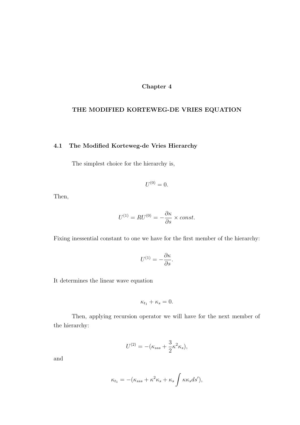#### Chapter 4

#### THE MODIFIED KORTEWEG-DE VRIES EQUATION

#### 4.1 The Modified Korteweg-de Vries Hierarchy

The simplest choice for the hierarchy is,

$$
U^{(0)}=0.
$$

Then,

$$
U^{(1)} = RU^{(0)} = -\frac{\partial \kappa}{\partial s} \times const.
$$

Fixing inessential constant to one we have for the first member of the hierarchy:

$$
U^{(1)} = -\frac{\partial \kappa}{\partial s}.
$$

It determines the linear wave equation

$$
\kappa_{t_1} + \kappa_s = 0.
$$

Then, applying recursion operator we will have for the next member of the hierarchy:

$$
U^{(2)} = -(\kappa_{sss} + \frac{3}{2}\kappa^2 \kappa_s),
$$

and

$$
\kappa_{t_1} = -(\kappa_{sss} + \kappa^2 \kappa_s + \kappa_s \int \kappa \kappa_s ds'),
$$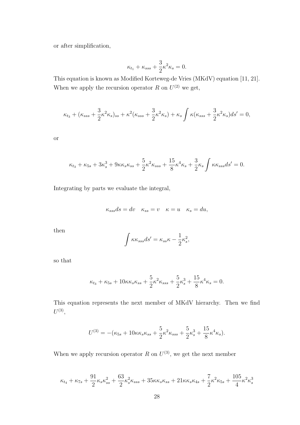or after simplification,

$$
\kappa_{t_1} + \kappa_{sss} + \frac{3}{2}\kappa^2 \kappa_s = 0.
$$

This equation is known as Modified Korteweg-de Vries (MKdV) equation [11, 21]. When we apply the recursion operator R on  $U^{(2)}$  we get,

$$
\kappa_{t_3} + (\kappa_{sss} + \frac{3}{2}\kappa^2 \kappa_s)_{ss} + \kappa^2 (\kappa_{sss} + \frac{3}{2}\kappa^2 \kappa_s) + \kappa_s \int \kappa (\kappa_{sss} + \frac{3}{2}\kappa^2 \kappa_s) ds' = 0,
$$

or

$$
\kappa_{t_3} + \kappa_{5s} + 3\kappa_s^3 + 9\kappa\kappa_s\kappa_{ss} + \frac{5}{2}\kappa^2\kappa_{sss} + \frac{15}{8}\kappa^4\kappa_s + \frac{3}{2}\kappa_s \int \kappa\kappa_{sss} ds' = 0.
$$

Integrating by parts we evaluate the integral,

$$
\kappa_{sss}ds = dv \quad \kappa_{ss} = v \quad \kappa = u \quad \kappa_s = du,
$$

then

$$
\int \kappa \kappa_{sss} ds' = \kappa_{ss} \kappa - \frac{1}{2} \kappa_s^2,
$$

so that

$$
\kappa_{t_3} + \kappa_{5s} + 10\kappa \kappa_s \kappa_{ss} + \frac{5}{2} \kappa^2 \kappa_{sss} + \frac{5}{2} \kappa_s^3 + \frac{15}{8} \kappa^4 \kappa_s = 0.
$$

This equation represents the next member of MKdV hierarchy. Then we find  $U^{(3)},$ 

$$
U^{(3)} = -(\kappa_{5s} + 10\kappa\kappa_s\kappa_{ss} + \frac{5}{2}\kappa^2\kappa_{sss} + \frac{5}{2}\kappa_s^3 + \frac{15}{8}\kappa^4\kappa_s).
$$

When we apply recursion operator R on  $U^{(3)}$ , we get the next member

$$
\kappa_{t_4}+\kappa_{7s}+\frac{91}{2}\kappa_s\kappa_{ss}^2+\frac{63}{2}\kappa_s^2\kappa_{sss}+35\kappa\kappa_s\kappa_{ss}+21\kappa\kappa_s\kappa_{4s}+\frac{7}{2}\kappa^2\kappa_{5s}+\frac{105}{4}\kappa^2\kappa_s^3
$$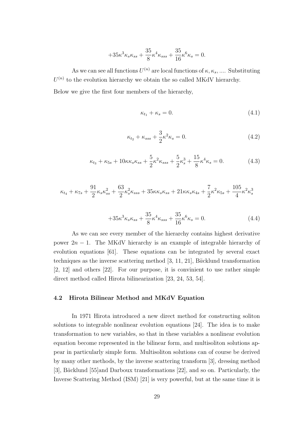$$
+35\kappa^3\kappa_{s}\kappa_{ss} + \frac{35}{8}\kappa^4\kappa_{sss} + \frac{35}{16}\kappa^6\kappa_s = 0.
$$

As we can see all functions  $U^{(n)}$  are local functions of  $\kappa, \kappa_s, \dots$ . Substituting  $U^{(n)}$  to the evolution hierarchy we obtain the so called MKdV hierarchy. Below we give the first four members of the hierarchy,

$$
\kappa_{t_1} + \kappa_s = 0. \tag{4.1}
$$

$$
\kappa_{t_2} + \kappa_{sss} + \frac{3}{2}\kappa^2 \kappa_s = 0.
$$
\n(4.2)

$$
\kappa_{t_3} + \kappa_{5s} + 10\kappa\kappa_s\kappa_{ss} + \frac{5}{2}\kappa^2\kappa_{sss} + \frac{5}{2}\kappa^3_s + \frac{15}{8}\kappa^4\kappa_s = 0.
$$
 (4.3)

$$
\kappa_{t_4} + \kappa_{7s} + \frac{91}{2} \kappa_s \kappa_{ss}^2 + \frac{63}{2} \kappa_s^2 \kappa_{sss} + 35 \kappa \kappa_s \kappa_{ss} + 21 \kappa \kappa_s \kappa_{4s} + \frac{7}{2} \kappa^2 \kappa_{5s} + \frac{105}{4} \kappa^2 \kappa_s^3
$$

$$
+35\kappa^3\kappa_s\kappa_{ss} + \frac{35}{8}\kappa^4\kappa_{sss} + \frac{35}{16}\kappa^6\kappa_s = 0.
$$
 (4.4)

As we can see every member of the hierarchy contains highest derivative power  $2n - 1$ . The MKdV hierarchy is an example of integrable hierarchy of evolution equations [61]. These equations can be integrated by several exact techniques as the inverse scattering method  $[3, 11, 21]$ , Bäcklund transformation [2, 12] and others [22]. For our purpose, it is convinient to use rather simple direct method called Hirota bilinearization [23, 24, 53, 54].

### 4.2 Hirota Bilinear Method and MKdV Equation

In 1971 Hirota introduced a new direct method for constructing soliton solutions to integrable nonlinear evolution equations [24]. The idea is to make transformation to new variables, so that in these variables a nonlinear evolution equation become represented in the bilinear form, and multisoliton solutions appear in particularly simple form. Multisoliton solutions can of course be derived by many other methods, by the inverse scattering transform [3], dressing method [3], Bäcklund [55]and Darboux transformations [22], and so on. Particularly, the Inverse Scattering Method (ISM) [21] is very powerful, but at the same time it is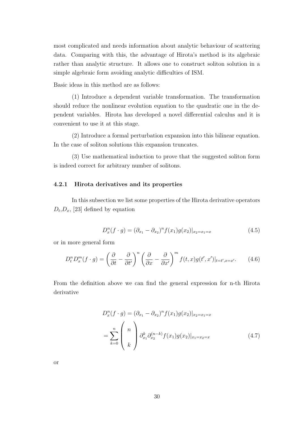most complicated and needs information about analytic behaviour of scattering data. Comparing with this, the advantage of Hirota's method is its algebraic rather than analytic structure. It allows one to construct soliton solution in a simple algebraic form avoiding analytic difficulties of ISM.

Basic ideas in this method are as follows:

(1) Introduce a dependent variable transformation. The transformation should reduce the nonlinear evolution equation to the quadratic one in the dependent variables. Hirota has developed a novel differential calculus and it is convenient to use it at this stage.

(2) Introduce a formal perturbation expansion into this bilinear equation. In the case of soliton solutions this expansion truncates.

(3) Use mathematical induction to prove that the suggested soliton form is indeed correct for arbitrary number of solitons.

#### 4.2.1 Hirota derivatives and its properties

In this subsection we list some properties of the Hirota derivative operators  $D_t, D_x, [23]$  defined by equation

$$
D_x^n(f \cdot g) = (\partial_{x_1} - \partial_{x_2})^n f(x_1)g(x_2)|_{x_2 = x_1 = x}
$$
\n(4.5)

or in more general form

$$
D_t^n D_x^m(f \cdot g) = \left(\frac{\partial}{\partial t} - \frac{\partial}{\partial t'}\right)^n \left(\frac{\partial}{\partial x} - \frac{\partial}{\partial x'}\right)^m f(t, x) g(t', x')|_{t = t', x = x'}.
$$
 (4.6)

From the definition above we can find the general expression for n-th Hirota derivative

$$
D_x^n(f \cdot g) = (\partial_{x_1} - \partial_{x_2})^n f(x_1)g(x_2)|_{x_2 = x_1 = x}
$$
  
= 
$$
\sum_{k=0}^n \begin{pmatrix} n \\ k \end{pmatrix} \partial_{x_1}^k \partial_{x_2}^{(n-k)} f(x_1)g(x_2)|_{x_1 = x_2 = x}
$$
 (4.7)

or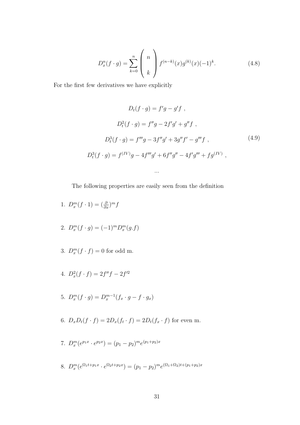$$
D_x^n(f \cdot g) = \sum_{k=0}^n {n \choose k} f^{(n-k)}(x) g^{(k)}(x) (-1)^k.
$$
 (4.8)

For the first few derivatives we have explicitly

$$
D_t(f \cdot g) = f'g - g'f,
$$
  
\n
$$
D_t^2(f \cdot g) = f''g - 2f'g' + g''f,
$$
  
\n
$$
D_t^3(f \cdot g) = f'''g - 3f''g' + 3g''f' - g'''f,
$$
  
\n
$$
D_t^3(f \cdot g) = f^{(IV)}g - 4f'''g' + 6f''g'' - 4f'g''' + fg^{(IV)},
$$
\n(4.9)

The following properties are easily seen from the definition

...

1. 
$$
D_x^m(f \cdot 1) = \left(\frac{\partial}{\partial x}\right)^m f
$$

- 2.  $D_x^m(f \cdot g) = (-1)^m D_x^m(g \cdot f)$
- 3.  $D_x^m(f \cdot f) = 0$  for odd m.
- 4.  $D_x^2(f \cdot f) = 2f''f 2f'^2$
- 5.  $D_x^m(f \cdot g) = D_x^{m-1}(f_x \cdot g f \cdot g_x)$
- 6.  $D_x D_t(f \cdot f) = 2D_x(f_t \cdot f) = 2D_t(f_x \cdot f)$  for even m.
- 7.  $D_x^m(e^{p_1x} \cdot e^{p_2x}) = (p_1 p_2)^m e^{(p_1+p_2)x}$
- 8.  $D_x^m(e^{\Omega_1 t + p_1 x} \cdot e^{\Omega_2 t + p_2 x}) = (p_1 p_2)^m e^{(\Omega_1 + \Omega_2)t + (p_1 + p_2)x}$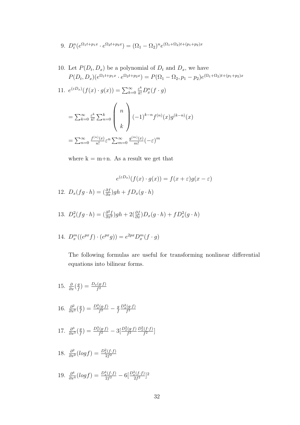- 9.  $D_t^n(e^{\Omega_1 t + p_1 x} \cdot e^{\Omega_2 t + p_2 x}) = (\Omega_1 \Omega_2)^n e^{(\Omega_1 + \Omega_2)t + (p_1 + p_2)x}$
- 10. Let  $P(D_t, D_x)$  be a polynomial of  $D_t$  and  $D_x$ , we have  $P(D_t, D_x)(e^{\Omega_1 t + p_1 x} \cdot e^{\Omega_2 t + p_2 x}) = P(\Omega_1 - \Omega_2, p_1 - p_2)e^{(\Omega_1 + \Omega_2)t + (p_1 + p_2)x}$
- 11.  $e^{(\varepsilon D_x)}(f(x) \cdot g(x)) = \sum_{k=0}^{\infty}$  $\frac{\varepsilon^k}{k!}D_x^n(f\cdot g)$

$$
= \sum_{k=0}^{\infty} \frac{\varepsilon^k}{k!} \sum_{n=0}^k \binom{n}{k} (-1)^{k-n} f^{(n)}(x) g^{(k-n)}(x)
$$

$$
= \sum_{n=0}^{\infty} \frac{f^{(n)}(x)}{n!} \varepsilon^n \sum_{m=0}^{\infty} \frac{g^{(m)}(x)}{m!} (-\varepsilon)^m
$$

where  $k = m+n$ . As a result we get that

$$
e^{(\varepsilon D_x)}(f(x) \cdot g(x)) = f(x + \varepsilon)g(x - \varepsilon)
$$
  
12.  $D_x(fg \cdot h) = \left(\frac{\partial f}{\partial x}\right)gh + fD_x(g \cdot h)$ 

13. 
$$
D_x^2(fg \cdot h) = \left(\frac{\partial^2 f}{\partial x^2}\right)gh + 2\left(\frac{\partial f}{\partial x}\right)D_x(g \cdot h) + fD_x^2(g \cdot h)
$$

14. 
$$
D_x^m((e^{px} f) \cdot (e^{px} g)) = e^{2px} D_x^m(f \cdot g)
$$

The following formulas are useful for transforming nonlinear differential equations into bilinear forms.

15.  $\frac{\partial}{\partial x} \left( \frac{g}{f} \right)$  $\frac{g}{f})=\frac{D_{x}(g\cdot f)}{f^{2}}$ 16.  $\frac{\partial^2}{\partial x^2} \left( \frac{g}{f} \right)$  $\frac{g}{f}$ ) =  $\frac{D_x^2(g \cdot f)}{f^2} - \frac{g}{f}$ f  $\frac{D_x^2(g \cdot f)}{f^2}$ 17.  $\frac{\partial^3}{\partial x^3} \left( \frac{g}{f} \right)$  $\frac{g}{f}$ ) =  $\frac{D_x^3(g \cdot f)}{f^2} - 3\left[\frac{D_x^2(g \cdot f)}{f^2} \frac{D_x^2(f \cdot f)}{f^2}\right]$ 18.  $\frac{\partial^2}{\partial x^2} (log f) = \frac{D_x^2 (f \cdot f)}{2f^2}$ 19.  $\frac{\partial^4}{\partial x^4}(\log f) = \frac{D_x^4(f \cdot f)}{2f^2} - 6\left[\frac{D_x^2(f \cdot f)}{2f^2}\right]^2$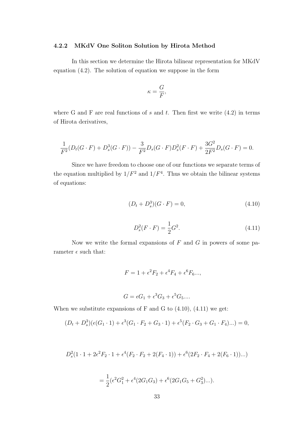### 4.2.2 MKdV One Soliton Solution by Hirota Method

In this section we determine the Hirota bilinear representation for MKdV equation (4.2). The solution of equation we suppose in the form

$$
\kappa = \frac{G}{F},
$$

where G and F are real functions of s and t. Then first we write  $(4.2)$  in terms of Hirota derivatives,

$$
\frac{1}{F^2}(D_t(G \cdot F) + D_s^3(G \cdot F)) - \frac{3}{F^2}D_s(G \cdot F)D_s^2(F \cdot F) + \frac{3G^2}{2F^2}D_s(G \cdot F) = 0.
$$

Since we have freedom to choose one of our functions we separate terms of the equation multiplied by  $1/F^2$  and  $1/F^4$ . Thus we obtain the bilinear systems of equations:

$$
(D_t + D_s^3)(G \cdot F) = 0,\t\t(4.10)
$$

$$
D_s^2(F \cdot F) = \frac{1}{2}G^2.
$$
\n(4.11)

Now we write the formal expansions of  $F$  and  $G$  in powers of some parameter  $\epsilon$  such that:

$$
F = 1 + \epsilon^2 F_2 + \epsilon^4 F_4 + \epsilon^6 F_6...,
$$

$$
G = \epsilon G_1 + \epsilon^3 G_3 + \epsilon^5 G_5 \dots
$$

When we substitute expansions of F and G to  $(4.10)$ ,  $(4.11)$  we get:

$$
(D_t + D_s^3)(\epsilon(G_1 \cdot 1) + \epsilon^3(G_1 \cdot F_2 + G_3 \cdot 1) + \epsilon^5(F_2 \cdot G_3 + G_1 \cdot F_4)...)=0,
$$

$$
D_s^2(1 \cdot 1 + 2\epsilon^2 F_2 \cdot 1 + \epsilon^4 (F_2 \cdot F_2 + 2(F_4 \cdot 1)) + \epsilon^6 (2F_2 \cdot F_4 + 2(F_6 \cdot 1))...)
$$

$$
= \frac{1}{2} (\epsilon^2 G_1^2 + \epsilon^4 (2G_1G_3) + \epsilon^6 (2G_1G_5 + G_3^2)...).
$$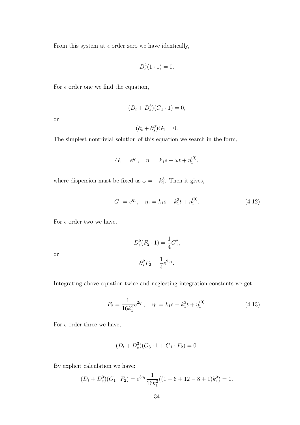From this system at  $\epsilon$  order zero we have identically,

$$
D_s^2(1\cdot 1)=0.
$$

For  $\epsilon$  order one we find the equation,

$$
(D_t + D_s^3)(G_1 \cdot 1) = 0,
$$

or

$$
(\partial_t + \partial_s^3)G_1 = 0.
$$

The simplest nontrivial solution of this equation we search in the form,

$$
G_1 = e^{\eta_1}, \quad \eta_1 = k_1 s + \omega t + \eta_1^{(0)}.
$$

where dispersion must be fixed as  $\omega = -k_1^3$ . Then it gives,

$$
G_1 = e^{\eta_1}, \quad \eta_1 = k_1 s - k_1^3 t + \eta_1^{(0)}.
$$
\n(4.12)

For  $\epsilon$  order two we have,

or

$$
D_s^2(F_2 \cdot 1) = \frac{1}{4}G_1^2,
$$
  

$$
\partial_s^2 F_2 = \frac{1}{4}e^{2\eta_1}.
$$

Integrating above equation twice and neglecting integration constants we get:

$$
F_2 = \frac{1}{16k_1^2}e^{2\eta_1}, \quad \eta_1 = k_1s - k_1^3t + \eta_1^{(0)}.
$$
 (4.13)

For  $\epsilon$  order three we have,

$$
(D_t + D_s^3)(G_3 \cdot 1 + G_1 \cdot F_2) = 0.
$$

By explicit calculation we have:

$$
(D_t + D_s^3)(G_1 \cdot F_2) = e^{3\eta_1} \frac{1}{16k_1^2}((1 - 6 + 12 - 8 + 1)k_1^3) = 0.
$$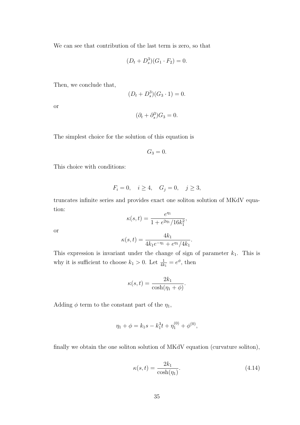We can see that contribution of the last term is zero, so that

$$
(D_t + D_s^3)(G_1 \cdot F_2) = 0.
$$

Then, we conclude that,

$$
(D_t + D_s^3)(G_3 \cdot 1) = 0.
$$

or

$$
(\partial_t + \partial_s^3)G_3 = 0.
$$

The simplest choice for the solution of this equation is

$$
G_3=0.
$$

This choice with conditions:

$$
F_i = 0, \quad i \ge 4, \quad G_j = 0, \quad j \ge 3,
$$

truncates infinite series and provides exact one soliton solution of MKdV equation:

$$
\kappa(s,t) = \frac{e^{\eta_1}}{1 + e^{2\eta_1}/16k_1^2},
$$

or

$$
\kappa(s,t) = \frac{4k_1}{4k_1e^{-\eta_1} + e^{\eta_1}/4k_1}.
$$

This expression is invariant under the change of sign of parameter  $k_1$ . This is why it is sufficient to choose  $k_1 > 0$ . Let  $\frac{1}{4k_1} = e^{\phi}$ , then

$$
\kappa(s,t) = \frac{2k_1}{\cosh(\eta_1 + \phi)}.
$$

Adding  $\phi$  term to the constant part of the  $\eta_1$ ,

$$
\eta_1 + \phi = k_1 s - k_1^3 t + \eta_1^{(0)} + \phi^{(0)},
$$

finally we obtain the one soliton solution of MKdV equation (curvature soliton),

$$
\kappa(s,t) = \frac{2k_1}{\cosh(\eta_1)}.\tag{4.14}
$$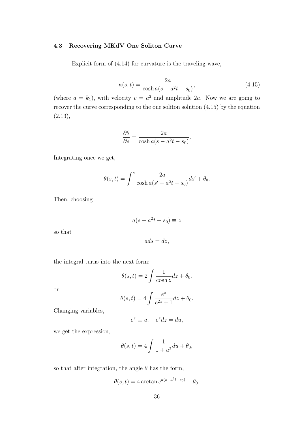### 4.3 Recovering MKdV One Soliton Curve

Explicit form of (4.14) for curvature is the traveling wave,

$$
\kappa(s,t) = \frac{2a}{\cosh a(s - a^2t - s_0)},
$$
\n(4.15)

(where  $a = k_1$ ), with velocity  $v = a^2$  and amplitude 2a. Now we are going to recover the curve corresponding to the one soliton solution (4.15) by the equation  $(2.13),$ 

$$
\frac{\partial \theta}{\partial s} = \frac{2a}{\cosh a(s - a^2 t - s_0)}.
$$

Integrating once we get,

$$
\theta(s,t) = \int^s \frac{2a}{\cosh a(s'-a^2t-s_0)} ds' + \theta_0.
$$

Then, choosing

$$
a(s - a^2t - s_0) \equiv z
$$

so that

 $ads = dz$ ,

the integral turns into the next form:

$$
\theta(s,t) = 2 \int \frac{1}{\cosh z} dz + \theta_0.
$$

or

$$
\theta(s,t) = 4 \int \frac{e^z}{e^{2z} + 1} dz + \theta_0.
$$

Changing variables,

$$
e^z \equiv u, \quad e^z dz = du,
$$

we get the expression,

$$
\theta(s,t) = 4 \int \frac{1}{1+u^2} du + \theta_0,
$$

so that after integration, the angle  $\theta$  has the form,

$$
\theta(s,t) = 4 \arctan e^{a(s-a^2t-s_0)} + \theta_0.
$$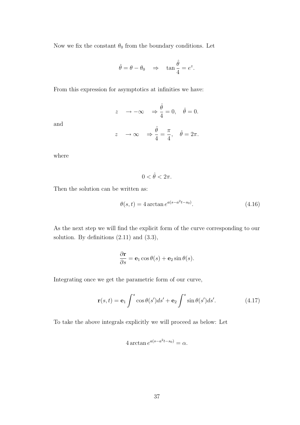Now we fix the constant  $\theta_0$  from the boundary conditions. Let

$$
\hat{\theta} = \theta - \theta_0 \Rightarrow \tan \frac{\hat{\theta}}{4} = e^z.
$$

From this expression for asymptotics at infinities we have:

$$
z \to -\infty \Rightarrow \frac{\hat{\theta}}{4} = 0, \quad \hat{\theta} = 0.
$$
  
 $z \to \infty \Rightarrow \frac{\hat{\theta}}{4} = \frac{\pi}{4}, \quad \hat{\theta} = 2\pi.$ 

where

and

 $0 < \hat{\theta} < 2\pi$ .

Then the solution can be written as:

$$
\theta(s,t) = 4 \arctan e^{a(s - a^2 t - s_0)}.
$$
\n(4.16)

As the next step we will find the explicit form of the curve corresponding to our solution. By definitions (2.11) and (3.3),

$$
\frac{\partial \mathbf{r}}{\partial s} = \mathbf{e}_1 \cos \theta(s) + \mathbf{e}_2 \sin \theta(s).
$$

Integrating once we get the parametric form of our curve,

$$
\mathbf{r}(s,t) = \mathbf{e}_1 \int^s \cos \theta(s')ds' + \mathbf{e}_2 \int^s \sin \theta(s')ds'.
$$
 (4.17)

To take the above integrals explicitly we will proceed as below: Let

$$
4\arctan e^{a(s-a^2t-s_0)}=\alpha.
$$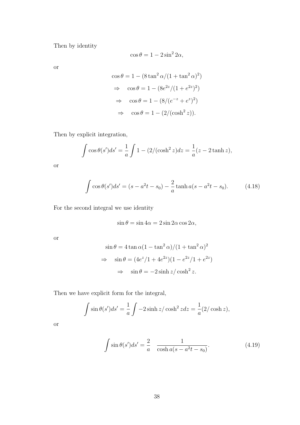Then by identity

$$
\cos \theta = 1 - 2\sin^2 2\alpha,
$$

or

$$
\cos \theta = 1 - (8 \tan^2 \alpha / (1 + \tan^2 \alpha)^2)
$$
  
\n
$$
\Rightarrow \cos \theta = 1 - (8e^{2z} / (1 + e^{2z})^2)
$$
  
\n
$$
\Rightarrow \cos \theta = 1 - (8/(e^{-z} + e^z)^2)
$$
  
\n
$$
\Rightarrow \cos \theta = 1 - (2/(\cosh^2 z)).
$$

Then by explicit integration,

$$
\int \cos \theta(s') ds' = \frac{1}{a} \int 1 - (2/(\cosh^2 z) dz = \frac{1}{a} (z - 2 \tanh z),
$$

or

$$
\int \cos \theta(s')ds' = (s - a^2t - s_0) - \frac{2}{a}\tanh a(s - a^2t - s_0). \tag{4.18}
$$

For the second integral we use identity

$$
\sin \theta = \sin 4\alpha = 2 \sin 2\alpha \cos 2\alpha,
$$

or

$$
\sin \theta = 4 \tan \alpha (1 - \tan^2 \alpha) / (1 + \tan^2 \alpha)^2
$$
  
\n
$$
\Rightarrow \quad \sin \theta = (4e^z / 1 + 4e^{2z}) (1 - e^{2z} / 1 + e^{2z})
$$
  
\n
$$
\Rightarrow \quad \sin \theta = -2 \sinh z / \cosh^2 z.
$$

Then we have explicit form for the integral,

$$
\int \sin \theta(s')ds' = \frac{1}{a} \int -2\sinh z/\cosh^2 z dz = \frac{1}{a} (2/\cosh z),
$$

or

$$
\int \sin \theta(s')ds' = \frac{2}{a} \frac{1}{\cosh a(s - a^2t - s_0)}.
$$
\n(4.19)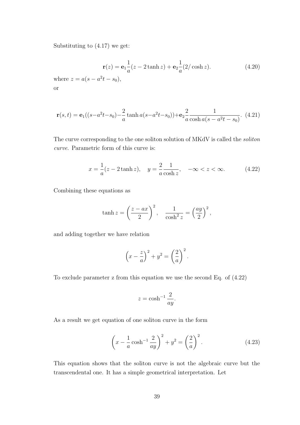Substituting to (4.17) we get:

$$
\mathbf{r}(z) = \mathbf{e}_1 \frac{1}{a}(z - 2 \tanh z) + \mathbf{e}_2 \frac{1}{a}(2/\cosh z). \tag{4.20}
$$

where  $z = a(s - a^2t - s_0)$ , or

$$
\mathbf{r}(s,t) = \mathbf{e}_1((s-a^2t-s_0) - \frac{2}{a}\tanh a(s-a^2t-s_0)) + \mathbf{e}_2 \frac{2}{a}\frac{1}{\cosh a(s-a^2t-s_0)}.
$$
 (4.21)

The curve corresponding to the one soliton solution of MKdV is called the soliton curve. Parametric form of this curve is:

$$
x = \frac{1}{a}(z - 2\tanh z), \quad y = \frac{2}{a}\frac{1}{\cosh z}, \quad -\infty < z < \infty.
$$
 (4.22)

Combining these equations as

$$
\tanh z = \left(\frac{z - ax}{2}\right)^2, \quad \frac{1}{\cosh^2 z} = \left(\frac{ay}{2}\right)^2,
$$

and adding together we have relation

$$
\left(x - \frac{z}{a}\right)^2 + y^2 = \left(\frac{2}{a}\right)^2.
$$

To exclude parameter z from this equation we use the second Eq. of (4.22)

$$
z = \cosh^{-1} \frac{2}{ay}.
$$

As a result we get equation of one soliton curve in the form

$$
\left(x - \frac{1}{a}\cosh^{-1}\frac{2}{ay}\right)^2 + y^2 = \left(\frac{2}{a}\right)^2.
$$
 (4.23)

This equation shows that the soliton curve is not the algebraic curve but the transcendental one. It has a simple geometrical interpretation. Let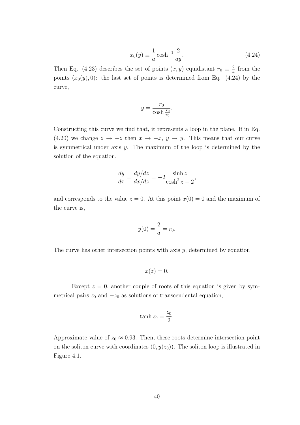$$
x_0(y) \equiv \frac{1}{a} \cosh^{-1} \frac{2}{ay}.\tag{4.24}
$$

Then Eq. (4.23) describes the set of points  $(x, y)$  equidistant  $r_0 \equiv \frac{2}{a}$  $\frac{2}{a}$  from the points  $(x_0(y), 0)$ : the last set of points is determined from Eq. (4.24) by the curve,

$$
y = \frac{r_0}{\cosh \frac{x_0}{r_0}}.
$$

Constructing this curve we find that, it represents a loop in the plane. If in Eq. (4.20) we change  $z \to -z$  then  $x \to -x$ ,  $y \to y$ . This means that our curve is symmetrical under axis  $y$ . The maximum of the loop is determined by the solution of the equation,

$$
\frac{dy}{dx} = \frac{dy/dz}{dx/dz} = -2\frac{\sinh z}{\cosh^2 z - 2},
$$

and corresponds to the value  $z = 0$ . At this point  $x(0) = 0$  and the maximum of the curve is,

$$
y(0) = \frac{2}{a} = r_0.
$$

The curve has other intersection points with axis  $y$ , determined by equation

$$
x(z)=0.
$$

Except  $z = 0$ , another couple of roots of this equation is given by symmetrical pairs  $z_0$  and  $-z_0$  as solutions of transcendental equation,

$$
\tanh z_0 = \frac{z_0}{2}.
$$

Approximate value of  $z_0 \approx 0.93$ . Then, these roots determine intersection point on the soliton curve with coordinates  $(0, y(z_0))$ . The soliton loop is illustrated in Figure 4.1.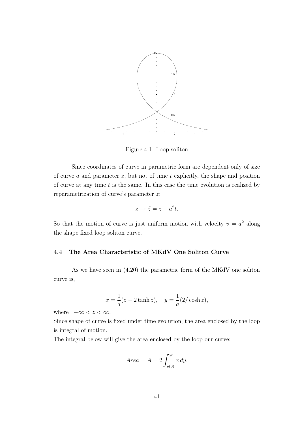

Figure 4.1: Loop soliton

Since coordinates of curve in parametric form are dependent only of size of curve  $a$  and parameter  $z$ , but not of time  $t$  explicitly, the shape and position of curve at any time  $t$  is the same. In this case the time evolution is realized by reparametrization of curve's parameter z:

$$
z \to \tilde{z} = z - a^2 t.
$$

So that the motion of curve is just uniform motion with velocity  $v = a^2$  along the shape fixed loop soliton curve.

# 4.4 The Area Characteristic of MKdV One Soliton Curve

As we have seen in (4.20) the parametric form of the MKdV one soliton curve is,

$$
x = \frac{1}{a}(z - 2\tanh z), \quad y = \frac{1}{a}(2/\cosh z),
$$

where  $-\infty < z < \infty$ .

Since shape of curve is fixed under time evolution, the area enclosed by the loop is integral of motion.

The integral below will give the area enclosed by the loop our curve:

$$
Area = A = 2 \int_{y(0)}^{y_0} x \, dy,
$$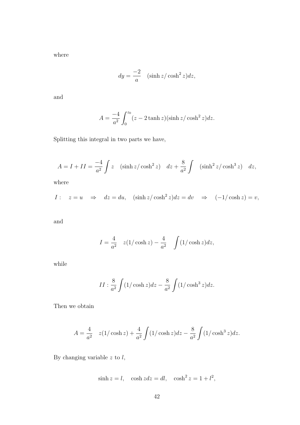where

$$
dy = \frac{-2}{a} \quad (\sinh z / \cosh^2 z) dz,
$$

and

$$
A = \frac{-4}{a^2} \int_0^{z_0} (z - 2 \tanh z)(\sinh z / \cosh^2 z) dz.
$$

Splitting this integral in two parts we have,

$$
A = I + II = \frac{-4}{a^2} \int z \quad (\sinh z / \cosh^2 z) \quad dz + \frac{8}{a^2} \int \quad (\sinh^2 z / \cosh^3 z) \quad dz,
$$

where

$$
I: \quad z = u \quad \Rightarrow \quad dz = du, \quad (\sinh z / \cosh^2 z) dz = dv \quad \Rightarrow \quad (-1/\cosh z) = v,
$$

and

$$
I = \frac{4}{a^2} \quad z(1/\cosh z) - \frac{4}{a^2} \quad \int (1/\cosh z) dz,
$$

while

$$
II: \frac{8}{a^2} \int (1/\cosh z) dz - \frac{8}{a^2} \int (1/\cosh^3 z) dz.
$$

Then we obtain

$$
A = \frac{4}{a^2} \quad z(1/\cosh z) + \frac{4}{a^2} \int (1/\cosh z) dz - \frac{8}{a^2} \int (1/\cosh^3 z) dz.
$$

By changing variable  $z$  to  $l$ ,

$$
\sinh z = l, \quad \cosh z \, dz = dl, \quad \cosh^2 z = 1 + l^2,
$$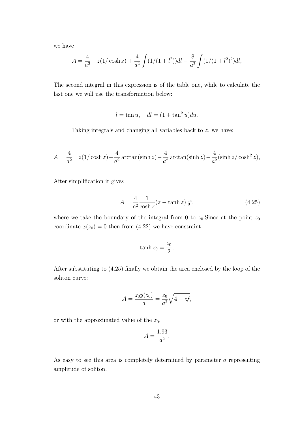we have

$$
A = \frac{4}{a^2} \quad z(1/\cosh z) + \frac{4}{a^2} \int (1/(1+l^2))dl - \frac{8}{a^2} \int (1/(1+l^2)^2)dl,
$$

The second integral in this expression is of the table one, while to calculate the last one we will use the transformation below:

$$
l = \tan u, \quad dl = (1 + \tan^2 u)du.
$$

Taking integrals and changing all variables back to z, we have:

$$
A = \frac{4}{a^2} \quad z(1/\cosh z) + \frac{4}{a^2} \arctan(\sinh z) - \frac{4}{a^2} \arctan(\sinh z) - \frac{4}{a^2} (\sinh z/\cosh^2 z),
$$

After simplification it gives

$$
A = \frac{4}{a^2} \frac{1}{\cosh z} (z - \tanh z)|_0^{z_0}.
$$
 (4.25)

where we take the boundary of the integral from 0 to  $z_0$ . Since at the point  $z_0$ coordinate  $x(z_0) = 0$  then from (4.22) we have constraint

$$
\tanh z_0 = \frac{z_0}{2},
$$

After substituting to (4.25) finally we obtain the area enclosed by the loop of the soliton curve:

$$
A = \frac{z_0 y(z_0)}{a} = \frac{z_0}{a^2} \sqrt{4 - z_0^2},
$$

or with the approximated value of the  $z_0$ ,

$$
A = \frac{1.93}{a^2}.
$$

As easy to see this area is completely determined by parameter a representing amplitude of soliton.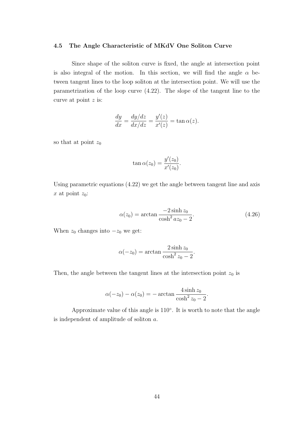### 4.5 The Angle Characteristic of MKdV One Soliton Curve

Since shape of the soliton curve is fixed, the angle at intersection point is also integral of the motion. In this section, we will find the angle  $\alpha$  between tangent lines to the loop soliton at the intersection point. We will use the parametrization of the loop curve (4.22). The slope of the tangent line to the curve at point z is:

$$
\frac{dy}{dx} = \frac{dy/dz}{dx/dz} = \frac{y'(z)}{x'(z)} = \tan \alpha(z).
$$

so that at point  $z_0$ 

$$
\tan \alpha(z_0) = \frac{y'(z_0)}{x'(z_0)}.
$$

Using parametric equations (4.22) we get the angle between tangent line and axis x at point  $z_0$ :

$$
\alpha(z_0) = \arctan \frac{-2\sinh z_0}{\cosh^2 az_0 - 2}.
$$
\n(4.26)

When  $z_0$  changes into  $-z_0$  we get:

$$
\alpha(-z_0) = \arctan \frac{2\sinh z_0}{\cosh^2 z_0 - 2}.
$$

Then, the angle between the tangent lines at the intersection point  $z_0$  is

$$
\alpha(-z_0) - \alpha(z_0) = -\arctan\frac{4\sinh z_0}{\cosh^2 z_0 - 2}.
$$

Approximate value of this angle is 110◦ . It is worth to note that the angle is independent of amplitude of soliton a.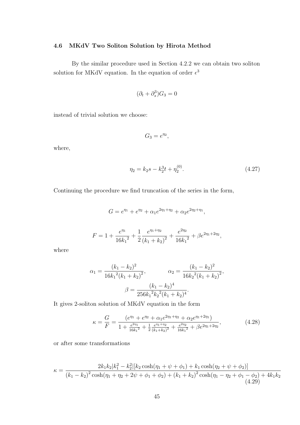## 4.6 MKdV Two Soliton Solution by Hirota Method

By the similar procedure used in Section 4.2.2 we can obtain two soliton solution for MKdV equation. In the equation of order  $\epsilon^3$ 

$$
(\partial_t + \partial_s^3)G_3 = 0
$$

instead of trivial solution we choose:

$$
G_3=e^{\eta_2},
$$

where,

$$
\eta_2 = k_2 s - k_2^3 t + \eta_2^{(0)}.\tag{4.27}
$$

Continuing the procedure we find truncation of the series in the form,

$$
G = e^{\eta_1} + e^{\eta_2} + \alpha_1 e^{2\eta_1 + \eta_2} + \alpha_2 e^{2\eta_2 + \eta_1},
$$

$$
F = 1 + \frac{e^{\eta_1}}{16k_1^2} + \frac{1}{2}\frac{e^{\eta_1 + \eta_2}}{(k_1 + k_2)^2} + \frac{e^{2\eta_2}}{16k_1^2} + \beta e^{2\eta_1 + 2\eta_2},
$$

where

$$
\alpha_1 = \frac{(k_1 - k_2)^2}{16k_1^2(k_1 + k_2)^2}, \qquad \alpha_2 = \frac{(k_1 - k_2)^2}{16k_2^2(k_1 + k_2)^2},
$$

$$
\beta = \frac{(k_1 - k_2)^4}{256k_1^2k_2^2(k_1 + k_2)^4}.
$$

It gives 2-soliton solution of MKdV equation in the form

$$
\kappa = \frac{G}{F} = \frac{(e^{\eta_1} + e^{\eta_2} + \alpha_1 e^{2\eta_1 + \eta_2} + \alpha_2 e^{\eta_1 + 2\eta_1})}{1 + \frac{e^{2\eta_1}}{16k_1^2} + \frac{1}{2}\frac{e^{\eta_1 + \eta_2}}{(k_1 + k_2)^2} + \frac{e^{2\eta_2}}{16k_1^2} + \beta e^{2\eta_1 + 2\eta_2}},
$$
(4.28)

or after some transformations

$$
\kappa = \frac{2k_1k_2|k_1^2 - k_2^2|[k_2\cosh(\eta_1 + \psi + \phi_1) + k_1\cosh(\eta_2 + \psi + \phi_2)]}{(k_1 - k_2)^2\cosh(\eta_1 + \eta_2 + 2\psi + \phi_1 + \phi_2) + (k_1 + k_2)^2\cosh(\eta_1 - \eta_2 + \phi_1 - \phi_2) + 4k_1k_2}
$$
\n(4.29)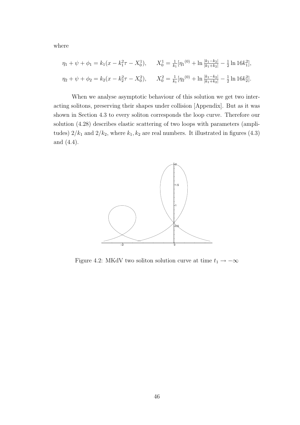where

$$
\eta_1 + \psi + \phi_1 = k_1(x - k_1^2 \tau - X_0^1), \qquad X_0^1 = \frac{1}{k_1} [\eta_1^{(0)} + \ln \frac{|k_1 - k_2|}{|k_1 + k_2|} - \frac{1}{2} \ln 16k_1^2],
$$
  

$$
\eta_2 + \psi + \phi_2 = k_2(x - k_2^2 \tau - X_0^2), \qquad X_0^2 = \frac{1}{k_1} [\eta_2^{(0)} + \ln \frac{|k_1 - k_2|}{|k_1 + k_2|} - \frac{1}{2} \ln 16k_2^2].
$$

When we analyse asymptotic behaviour of this solution we get two interacting solitons, preserving their shapes under collision [Appendix]. But as it was shown in Section 4.3 to every soliton corresponds the loop curve. Therefore our solution (4.28) describes elastic scattering of two loops with parameters (amplitudes)  $2/k_1$  and  $2/k_2$ , where  $k_1, k_2$  are real numbers. It illustrated in figures (4.3) and (4.4).



Figure 4.2: MKdV two soliton solution curve at time  $t_1 \rightarrow -\infty$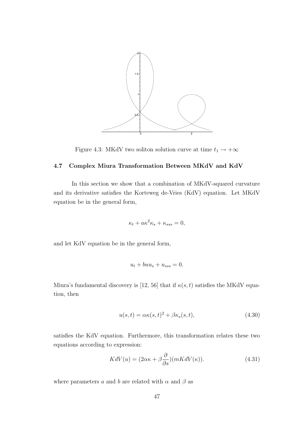

Figure 4.3: MKdV two soliton solution curve at time  $t_1 \rightarrow +\infty$ 

# 4.7 Complex Miura Transformation Between MKdV and KdV

In this section we show that a combination of MKdV-squared curvature and its derivative satisfies the Korteweg de-Vries (KdV) equation. Let MKdV equation be in the general form,

$$
\kappa_t + a\kappa^2 \kappa_s + \kappa_{sss} = 0,
$$

and let KdV equation be in the general form,

$$
u_t + buu_s + u_{sss} = 0.
$$

Miura's fundamental discovery is [12, 56] that if  $\kappa(s,t)$  satisfies the MKdV equation, then

$$
u(s,t) = \alpha \kappa(s,t)^2 + \beta \kappa_s(s,t),
$$
\n(4.30)

satisfies the KdV equation. Furthermore, this transformation relates these two equations according to expression:

$$
KdV(u) = (2\alpha\kappa + \beta\frac{\partial}{\partial s})(mKdV(\kappa)).
$$
\n(4.31)

where parameters a and b are related with  $\alpha$  and  $\beta$  as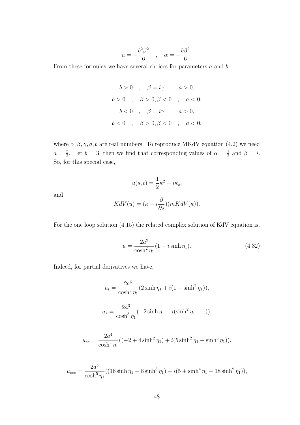$$
a = -\frac{b^2 \beta^2}{6} \quad , \quad \alpha = -\frac{b \beta^2}{6}.
$$

From these formulas we have several choices for parameters a and b.

$$
b > 0 \t, \t \beta = i\gamma \t, \t a > 0,
$$
  

$$
b > 0 \t, \t \beta > 0, \beta < 0 \t, \t a < 0,
$$
  

$$
b < 0 \t, \t \beta = i\gamma \t, \t a > 0,
$$
  

$$
b < 0 \t, \t \beta > 0, \beta < 0 \t, \t a < 0,
$$

where  $\alpha, \beta, \gamma, a, b$  are real numbers. To reproduce MKdV equation (4.2) we need  $a=\frac{3}{2}$  $\frac{3}{2}$ . Let  $b=3$ , then we find that corresponding values of  $\alpha = \frac{1}{2}$  $rac{1}{2}$  and  $\beta = i$ . So, for this special case,

and

$$
u(s,t) = \frac{1}{2}\kappa^2 + i\kappa_s,
$$
  

$$
KdV(u) = (\kappa + i\frac{\partial}{\partial x})(mKdV(\kappa)).
$$

For the one loop solution (4.15) the related complex solution of KdV equation is,

∂s

$$
u = \frac{2a^2}{\cosh^2 \eta_1} (1 - i \sinh \eta_1).
$$
 (4.32)

Indeed, for partial derivatives we have,

$$
u_t = \frac{2a^5}{\cosh^3 \eta_1} (2 \sinh \eta_1 + i(1 - \sinh^2 \eta_1)),
$$
  

$$
u_s = \frac{2a^3}{\cosh^3 \eta_1} (-2 \sinh \eta_1 + i(\sinh^2 \eta_1 - 1)),
$$

$$
u_{ss} = \frac{2a^4}{\cosh^4 \eta_1} ((-2 + 4 \sinh^2 \eta_1) + i(5 \sinh^2 \eta_1 - \sinh^3 \eta_1)),
$$

$$
u_{sss} = \frac{2a^5}{\cosh^5 \eta_1} ((16\sinh \eta_1 - 8\sinh^3 \eta_1) + i(5 + \sinh^4 \eta_1 - 18\sinh^2 \eta_1)),
$$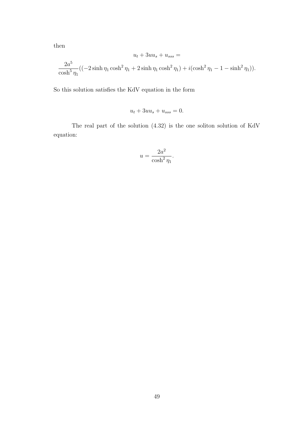then

$$
u_t + 3uu_s + u_{sss} =
$$
  

$$
\frac{2a^5}{\cosh^5 \eta_1} ((-2\sinh \eta_1 \cosh^2 \eta_1 + 2\sinh \eta_1 \cosh^2 \eta_1) + i(\cosh^2 \eta_1 - 1 - \sinh^2 \eta_1)).
$$

So this solution satisfies the KdV equation in the form

$$
u_t + 3uu_s + u_{sss} = 0.
$$

The real part of the solution (4.32) is the one soliton solution of KdV equation:

$$
u = \frac{2a^2}{\cosh^2 \eta_1}.
$$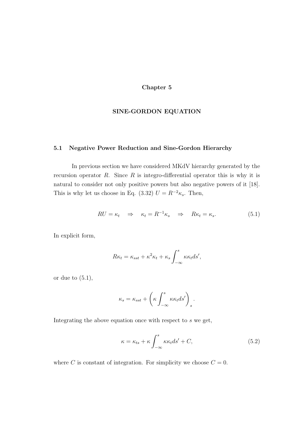## Chapter 5

### SINE-GORDON EQUATION

### 5.1 Negative Power Reduction and Sine-Gordon Hierarchy

In previous section we have considered MKdV hierarchy generated by the recursion operator  $R$ . Since  $R$  is integro-differential operator this is why it is natural to consider not only positive powers but also negative powers of it [18]. This is why let us choose in Eq. (3.32)  $U = R^{-2} \kappa_s$ . Then,

$$
RU = \kappa_t \Rightarrow \kappa_t = R^{-1}\kappa_s \Rightarrow R\kappa_t = \kappa_s. \tag{5.1}
$$

In explicit form,

$$
R\kappa_t = \kappa_{sst} + \kappa^2 \kappa_t + \kappa_s \int_{-\infty}^s \kappa \kappa_t ds',
$$

or due to  $(5.1)$ ,

$$
\kappa_s = \kappa_{sst} + \left(\kappa \int_{-\infty}^s \kappa \kappa_t ds'\right)_s.
$$

Integrating the above equation once with respect to s we get,

$$
\kappa = \kappa_{ts} + \kappa \int_{-\infty}^{s} \kappa \kappa_t ds' + C,\tag{5.2}
$$

where C is constant of integration. For simplicity we choose  $C = 0$ .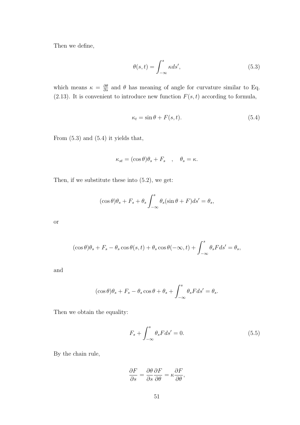Then we define,

$$
\theta(s,t) = \int_{-\infty}^{s} \kappa ds',\tag{5.3}
$$

which means  $\kappa = \frac{\partial \theta}{\partial s}$  $\frac{\partial \theta}{\partial s}$  and  $\theta$  has meaning of angle for curvature similar to Eq. (2.13). It is convenient to introduce new function  $F(s,t)$  according to formula,

$$
\kappa_t = \sin \theta + F(s, t). \tag{5.4}
$$

From (5.3) and (5.4) it yields that,

$$
\kappa_{st} = (\cos \theta)\theta_s + F_s \quad , \quad \theta_s = \kappa.
$$

Then, if we substitute these into (5.2), we get:

$$
(\cos \theta)\theta_s + F_s + \theta_s \int_{-\infty}^s \theta_s(\sin \theta + F)ds' = \theta_s,
$$

or

$$
(\cos \theta)\theta_s + F_s - \theta_s \cos \theta(s, t) + \theta_s \cos \theta(-\infty, t) + \int_{-\infty}^s \theta_s F ds' = \theta_s,
$$

and

$$
(\cos \theta)\theta_s + F_s - \theta_s \cos \theta + \theta_s + \int_{-\infty}^s \theta_s F ds' = \theta_s.
$$

Then we obtain the equality:

$$
F_s + \int_{-\infty}^s \theta_s F ds' = 0.
$$
\n(5.5)

By the chain rule,

$$
\frac{\partial F}{\partial s} = \frac{\partial \theta}{\partial s} \frac{\partial F}{\partial \theta} = \kappa \frac{\partial F}{\partial \theta},
$$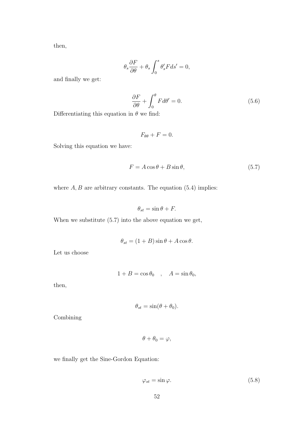then,

$$
\theta_s \frac{\partial F}{\partial \theta} + \theta_s \int_0^s \theta_s' F ds' = 0,
$$

and finally we get:

$$
\frac{\partial F}{\partial \theta} + \int_0^{\theta} F d\theta' = 0.
$$
 (5.6)

Differentiating this equation in  $\theta$  we find:

$$
F_{\theta\theta} + F = 0.
$$

Solving this equation we have:

$$
F = A\cos\theta + B\sin\theta,\tag{5.7}
$$

where  $A, B$  are arbitrary constants. The equation  $(5.4)$  implies:

$$
\theta_{st} = \sin \theta + F.
$$

When we substitute (5.7) into the above equation we get,

$$
\theta_{st} = (1+B)\sin\theta + A\cos\theta.
$$

Let us choose

$$
1 + B = \cos \theta_0 \quad , \quad A = \sin \theta_0,
$$

then,

$$
\theta_{st} = \sin(\theta + \theta_0).
$$

Combining

$$
\theta + \theta_0 = \varphi,
$$

we finally get the Sine-Gordon Equation:

$$
\varphi_{st} = \sin \varphi. \tag{5.8}
$$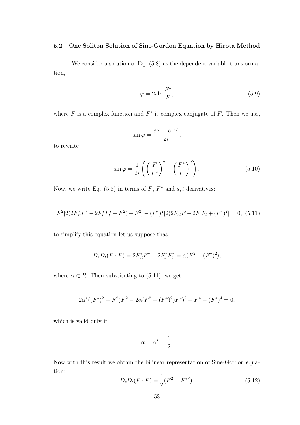### 5.2 One Soliton Solution of Sine-Gordon Equation by Hirota Method

We consider a solution of Eq.  $(5.8)$  as the dependent variable transformation,

$$
\varphi = 2i \ln \frac{F^*}{F},\tag{5.9}
$$

where  $F$  is a complex function and  $F^*$  is complex conjugate of  $F$ . Then we use,

$$
\sin \varphi = \frac{e^{i\varphi} - e^{-i\varphi}}{2i},
$$

to rewrite

$$
\sin \varphi = \frac{1}{2i} \left( \left( \frac{F}{F^*} \right)^2 - \left( \frac{F^*}{F} \right)^2 \right). \tag{5.10}
$$

Now, we write Eq.  $(5.8)$  in terms of F,  $F^*$  and  $s, t$  derivatives:

$$
F^{2}[2(2F_{st}^{*}F^{*} - 2F_{s}^{*}F_{t}^{*} + F^{2}) + F^{2}] - (F^{*})^{2}[2(2F_{st}F - 2F_{s}F_{t} + (F^{*})^{2})] = 0, (5.11)
$$

to simplify this equation let us suppose that,

$$
D_s D_t(F \cdot F) = 2F_{st}^* F^* - 2F_s^* F_t^* = \alpha (F^2 - (F^*)^2),
$$

where  $\alpha \in R$ . Then substituting to (5.11), we get:

$$
2\alpha^*((F^*)^2 - F^2)F^2 - 2\alpha(F^2 - (F^*)^2)F^*)^2 + F^4 - (F^*)^4 = 0,
$$

which is valid only if

$$
\alpha = \alpha^* = \frac{1}{2}.
$$

Now with this result we obtain the bilinear representation of Sine-Gordon equation:

$$
D_s D_t(F \cdot F) = \frac{1}{2}(F^2 - F^{*2}).\tag{5.12}
$$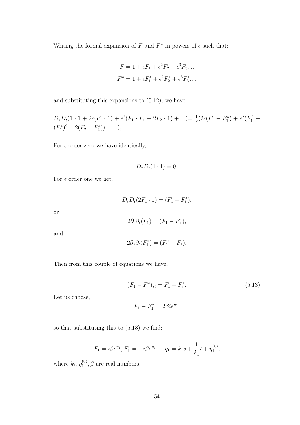Writing the formal expansion of F and  $F^*$  in powers of  $\epsilon$  such that:

$$
F = 1 + \epsilon F_1 + \epsilon^2 F_2 + \epsilon^3 F_3...,
$$
  

$$
F^* = 1 + \epsilon F_1^* + \epsilon^2 F_2^* + \epsilon^3 F_3^*...,
$$

and substituting this expansions to (5.12), we have

$$
D_s D_t (1 \cdot 1 + 2\epsilon (F_1 \cdot 1) + \epsilon^2 (F_1 \cdot F_1 + 2F_2 \cdot 1) + ...) = \frac{1}{2} (2\epsilon (F_1 - F_1^*) + \epsilon^2 (F_1^2 - (F_1^*)^2 + 2(F_2 - F_2^*)) + ...),
$$

For  $\epsilon$  order zero we have identically,

$$
D_x D_t(1\cdot 1)=0.
$$

For  $\epsilon$  order one we get,

$$
D_s D_t (2F_1 \cdot 1) = (F_1 - F_1^*),
$$

or

$$
2\partial_s \partial_t (F_1) = (F_1 - F_1^*),
$$

and

$$
2\partial_s \partial_t (F_1^*) = (F_1^* - F_1).
$$

Then from this couple of equations we have,

$$
(F_1 - F_1^*)_{st} = F_1 - F_1^*.
$$
\n(5.13)

Let us choose,

$$
F_1 - F_1^* = 2\beta i e^{\eta_1},
$$

so that substituting this to (5.13) we find:

$$
F_1 = i\beta e^{\eta_1}, F_1^* = -i\beta e^{\eta_1}, \quad \eta_1 = k_1 s + \frac{1}{k_1} t + \eta_1^{(0)},
$$

where  $k_1, \eta_1^{(0)}$  $n_1^{(0)}, \beta$  are real numbers.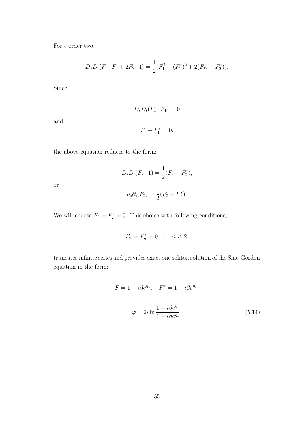For  $\epsilon$  order two,

$$
D_s D_t (F_1 \cdot F_1 + 2F_2 \cdot 1) = \frac{1}{2} (F_1^2 - (F_1^*)^2 + 2(F_{12} - F_2^*)).
$$

Since

and

or

$$
D_s D_t (F_1 \cdot F_1) = 0
$$

$$
F_1 + F_1^* = 0,
$$

the above equation reduces to the form:

$$
D_s D_t(F_2 \cdot 1) = \frac{1}{2}(F_2 - F_2^*),
$$
  

$$
\partial_s \partial_t(F_2) = \frac{1}{2}(F_2 - F_2^*).
$$

We will choose  $F_2 = F_2^* = 0$ . This choice with following conditions,

$$
F_n = F_n^* = 0 \quad , \quad n \ge 2,
$$

truncates infinite series and provides exact one soliton solution of the Sine-Gordon equation in the form:

$$
F = 1 + i\beta e^{\eta_1}, \quad F^* = 1 - i\beta e^{\eta_1},
$$

$$
\varphi = 2i \ln \frac{1 - i\beta e^{\eta_1}}{1 + i\beta e^{\eta_1}}.
$$
(5.14)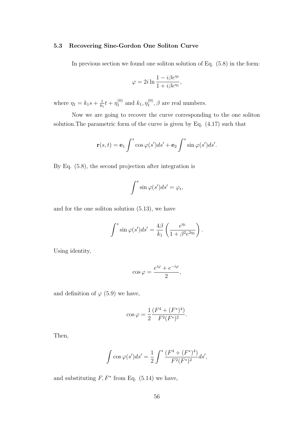### 5.3 Recovering Sine-Gordon One Soliton Curve

In previous section we found one soliton solution of Eq. (5.8) in the form:

$$
\varphi = 2i \ln \frac{1 - i\beta e^{\eta_1}}{1 + i\beta e^{\eta_1}},
$$

where  $\eta_1 = k_1 s + \frac{1}{k_1}$  $\frac{1}{k_1}t+\eta_1^{(0)}$  $_{1}^{(0)}$  and  $k_1, \eta_1^{(0)}$  $1^{(0)}$ ,  $\beta$  are real numbers.

Now we are going to recover the curve corresponding to the one soliton solution.The parametric form of the curve is given by Eq. (4.17) such that

$$
\mathbf{r}(s,t) = \mathbf{e}_1 \int^s \cos \varphi(s')ds' + \mathbf{e}_2 \int^s \sin \varphi(s')ds'.
$$

By Eq. (5.8), the second projection after integration is

$$
\int^s \sin \varphi(s')ds' = \varphi_t,
$$

and for the one soliton solution (5.13), we have

$$
\int^s \sin \varphi(s')ds' = \frac{4\beta}{k_1} \left( \frac{e^{\eta_1}}{1 + \beta^2 e^{2\eta_1}} \right).
$$

Using identity,

$$
\cos\varphi = \frac{e^{i\varphi} + e^{-i\varphi}}{2},
$$

and definition of  $\varphi$  (5.9) we have,

$$
\cos \varphi = \frac{1}{2} \frac{(F^4 + (F^*)^4)}{F^2 (F^*)^2}.
$$

Then,

$$
\int \cos \varphi(s')ds' = \frac{1}{2} \int^s \frac{(F^4 + (F^*)^4)}{F^2(F^*)^2} ds',
$$

and substituting  $F, F^*$  from Eq. (5.14) we have,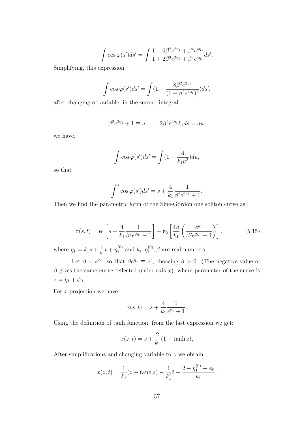$$
\int \cos \varphi(s')ds' = \int \frac{1 - 6\beta^2 e^{2\eta_1} + \beta^4 e^{4\eta_1}}{1 + 2\beta^2 e^{2\eta_1} + \beta^4 e^{4\eta_1}} ds'.
$$

Simplifying, this expression

$$
\int \cos \varphi(s')ds' = \int (1 - \frac{8\beta^2 e^{2\eta_1}}{(1 + \beta^2 e^{2\eta_1})^2})ds',
$$

after changing of variable, in the second integral

$$
\beta^2 e^{2\eta_1} + 1 \equiv u \quad , \quad 2\beta^2 e^{2\eta_1} k_1 ds = du,
$$

we have,

$$
\int \cos \varphi(s')ds' = \int (1 - \frac{4}{k_1 u^2})du,
$$

so that

$$
\int^s \cos \varphi(s')ds' = s + \frac{4}{k_1} \frac{1}{\beta^2 e^{2\eta 1} + 1}.
$$

Then we find the parametric form of the Sine-Gordon one soliton curve as,

$$
\mathbf{r}(s,t) = \mathbf{e}_1 \left[ s + \frac{4}{k_1} \frac{1}{\beta^2 e^{2\eta_1} + 1} \right] + \mathbf{e}_2 \left[ \frac{4\beta}{k_1} \left( \frac{e^{\eta_1}}{\beta^2 e^{2\eta_1} + 1} \right) \right]. \tag{5.15}
$$

where  $\eta_1 = k_1 s + \frac{1}{k_1}$  $\frac{1}{k_1}t+\eta_1^{(0)}$  $_{1}^{(0)}$  and  $k_1, \eta_1^{(0)}$  $1^{\mathsf{(0)}}, \beta$  are real numbers.

Let  $\beta = e^{\phi_0}$ , so that  $\beta e^{\eta_1} \equiv e^z$ , choosing  $\beta > 0$ . (The negative value of  $\beta$  gives the same curve reflected under axis x), where parameter of the curve is  $z = \eta_1 + \phi_0.$ 

For  $x$  projection we have

$$
x(s,t) = s + \frac{4}{k_1} \frac{1}{e^{2z} + 1}.
$$

Using the definition of tanh function, from the last expression we get:

$$
x(z,t) = s + \frac{2}{k_1}(1 - \tanh z),
$$

After simplifications and changing variable to  $z$  we obtain

$$
x(z,t) = \frac{1}{k_1}(z - \tanh z) - \frac{1}{k_1^2}t + \frac{2 - \eta_1^{(0)} - \phi_0}{k_1},
$$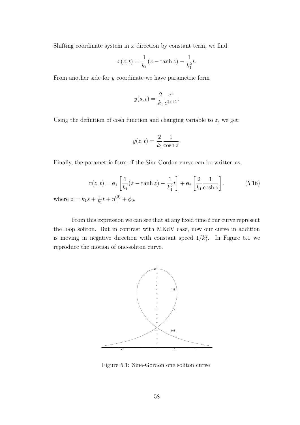Shifting coordinate system in  $x$  direction by constant term, we find

$$
x(z,t) = \frac{1}{k_1}(z - \tanh z) - \frac{1}{k_1^2}t.
$$

From another side for y coordinate we have parametric form

$$
y(s,t) = \frac{2}{k_1} \frac{e^z}{e^{2z+1}}.
$$

Using the definition of cosh function and changing variable to  $z$ , we get:

$$
y(z,t) = \frac{2}{k_1} \frac{1}{\cosh z}.
$$

Finally, the parametric form of the Sine-Gordon curve can be written as,

$$
\mathbf{r}(z,t) = \mathbf{e}_1 \left[ \frac{1}{k_1} (z - \tanh z) - \frac{1}{k_1^2} t \right] + \mathbf{e}_2 \left[ \frac{2}{k_1} \frac{1}{\cosh z} \right].
$$
 (5.16)  
=  $k_1 s + \frac{1}{k_1} t + \eta_1^{(0)} + \phi_0.$ 

where  $z$  $k<sub>1</sub>$  $t + \eta$  $1^{(0)} + \phi_0.$ 

From this expression we can see that at any fixed time  $t$  our curve represent the loop soliton. But in contrast with MKdV case, now our curve in addition is moving in negative direction with constant speed  $1/k_1^2$ . In Figure 5.1 we reproduce the motion of one-soliton curve.



Figure 5.1: Sine-Gordon one soliton curve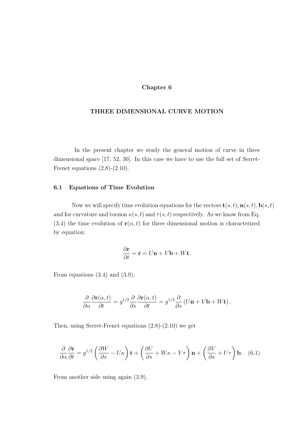### Chapter 6

### THREE DIMENSIONAL CURVE MOTION

In the present chapter we study the general motion of curve in three dimensional space [17, 52, 30]. In this case we have to use the full set of Serret-Frenet equations  $(2.8)-(2.10)$ .

### 6.1 Equations of Time Evolution

Now we will specify time evolution equations for the vectors  $\mathbf{t}(s,t)$ ,  $\mathbf{n}(s,t)$ ,  $\mathbf{b}(s,t)$ and for curvature and torsion  $\kappa(s,t)$  and  $\tau(s,t)$  respectively. As we know from Eq. (3.4) the time evolution of  $r(\alpha, t)$  for three dimensional motion is characterized by equation:

$$
\frac{\partial \mathbf{r}}{\partial t} = \dot{\mathbf{r}} = U\mathbf{n} + V\mathbf{b} + W\mathbf{t}.
$$

From equations (3.4) and (3.9),

$$
\frac{\partial}{\partial \alpha} \frac{\partial \mathbf{r}(\alpha, t)}{\partial t} = g^{1/2} \frac{\partial}{\partial s} \frac{\partial \mathbf{r}(\alpha, t)}{\partial t} = g^{1/2} \frac{\partial}{\partial s} \left( U \mathbf{n} + V \mathbf{b} + W \mathbf{t} \right).
$$

Then, using Serret-Frenet equations (2.8)-(2.10) we get

$$
\frac{\partial}{\partial \alpha} \frac{\partial \mathbf{r}}{\partial t} = g^{1/2} \left( \frac{\partial W}{\partial s} - U\kappa \right) \mathbf{t} + \left( \frac{\partial U}{\partial s} + W\kappa - V\tau \right) \mathbf{n} + \left( \frac{\partial V}{\partial s} + U\tau \right) \mathbf{b}.
$$
 (6.1)

From another side using again (3.9),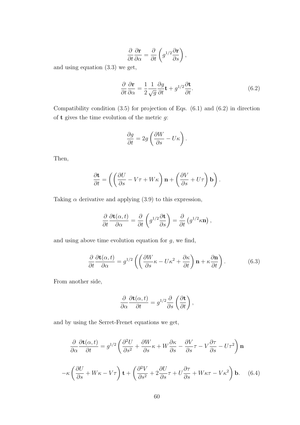$$
\frac{\partial}{\partial t}\frac{\partial \mathbf{r}}{\partial \alpha} = \frac{\partial}{\partial t}\left(g^{1/2}\frac{\partial \mathbf{r}}{\partial s}\right),\,
$$

and using equation (3.3) we get,

$$
\frac{\partial}{\partial t} \frac{\partial \mathbf{r}}{\partial \alpha} = \frac{1}{2} \frac{1}{\sqrt{g}} \frac{\partial g}{\partial t} \mathbf{t} + g^{1/2} \frac{\partial \mathbf{t}}{\partial t}.
$$
\n(6.2)

Compatibility condition  $(3.5)$  for projection of Eqs.  $(6.1)$  and  $(6.2)$  in direction of **t** gives the time evolution of the metric  $g$ :

$$
\frac{\partial g}{\partial t} = 2g \left( \frac{\partial W}{\partial s} - U \kappa \right).
$$

Then,

$$
\frac{\partial \mathbf{t}}{\partial t} = \left( \left( \frac{\partial U}{\partial s} - V\tau + W\kappa \right) \mathbf{n} + \left( \frac{\partial V}{\partial s} + U\tau \right) \mathbf{b} \right).
$$

Taking  $\alpha$  derivative and applying (3.9) to this expression,

$$
\frac{\partial}{\partial t} \frac{\partial \mathbf{t}(\alpha, t)}{\partial \alpha} = \frac{\partial}{\partial t} \left( g^{1/2} \frac{\partial \mathbf{t}}{\partial s} \right) = \frac{\partial}{\partial t} \left( g^{1/2} \kappa \mathbf{n} \right),
$$

and using above time evolution equation for  $g$ , we find,

$$
\frac{\partial}{\partial t} \frac{\partial \mathbf{t}(\alpha, t)}{\partial \alpha} = g^{1/2} \left( \left( \frac{\partial W}{\partial s} \kappa - U \kappa^2 + \frac{\partial \kappa}{\partial t} \right) \mathbf{n} + \kappa \frac{\partial \mathbf{n}}{\partial t} \right). \tag{6.3}
$$

From another side,

$$
\frac{\partial}{\partial \alpha} \frac{\partial \mathbf{t}(\alpha, t)}{\partial t} = g^{1/2} \frac{\partial}{\partial s} \left( \frac{\partial \mathbf{t}}{\partial t} \right),
$$

and by using the Serret-Frenet equations we get,

$$
\frac{\partial}{\partial \alpha} \frac{\partial \mathbf{t}(\alpha, t)}{\partial t} = g^{1/2} \left( \frac{\partial^2 U}{\partial s^2} + \frac{\partial W}{\partial s} \kappa + W \frac{\partial \kappa}{\partial s} - \frac{\partial V}{\partial s} \tau - V \frac{\partial \tau}{\partial s} - U \tau^2 \right) \mathbf{n}
$$

$$
-\kappa \left( \frac{\partial U}{\partial s} + W \kappa - V \tau \right) \mathbf{t} + \left( \frac{\partial^2 V}{\partial s^2} + 2 \frac{\partial U}{\partial s} \tau + U \frac{\partial \tau}{\partial s} + W \kappa \tau - V \kappa^2 \right) \mathbf{b}. \quad (6.4)
$$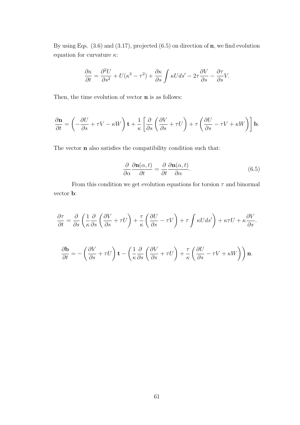By using Eqs. (3.6) and (3.17), projected (6.5) on direction of n, we find evolution equation for curvature  $\kappa$ :

$$
\frac{\partial \kappa}{\partial t} = \frac{\partial^2 U}{\partial s^2} + U(\kappa^2 - \tau^2) + \frac{\partial \kappa}{\partial s} \int \kappa U ds' - 2\tau \frac{\partial V}{\partial s} - \frac{\partial \tau}{\partial s} V.
$$

Then, the time evolution of vector **n** is as follows:

$$
\frac{\partial \mathbf{n}}{\partial t} = \left( -\frac{\partial U}{\partial s} + \tau V - \kappa W \right) \mathbf{t} + \frac{1}{\kappa} \left[ \frac{\partial}{\partial s} \left( \frac{\partial V}{\partial s} + \tau U \right) + \tau \left( \frac{\partial U}{\partial s} - \tau V + \kappa W \right) \right] \mathbf{b}.
$$

The vector n also satisfies the compatibility condition such that:

$$
\frac{\partial}{\partial \alpha} \frac{\partial \mathbf{n}(\alpha, t)}{\partial t} = \frac{\partial}{\partial t} \frac{\partial \mathbf{n}(\alpha, t)}{\partial \alpha}.
$$
 (6.5)

From this condition we get evolution equations for torsion  $\tau$  and binormal vector b:

$$
\frac{\partial \tau}{\partial t} = \frac{\partial}{\partial s} \left( \frac{1}{\kappa} \frac{\partial}{\partial s} \left( \frac{\partial V}{\partial s} + \tau U \right) + \frac{\tau}{\kappa} \left( \frac{\partial U}{\partial s} - \tau V \right) + \tau \int \kappa U ds' \right) + \kappa \tau U + \kappa \frac{\partial V}{\partial s}.
$$

$$
\frac{\partial \mathbf{b}}{\partial t} = -\left( \frac{\partial V}{\partial s} + \tau U \right) \mathbf{t} - \left( \frac{1}{\kappa} \frac{\partial}{\partial s} \left( \frac{\partial V}{\partial s} + \tau U \right) + \frac{\tau}{\kappa} \left( \frac{\partial U}{\partial s} - \tau V + \kappa W \right) \right) \mathbf{n}.
$$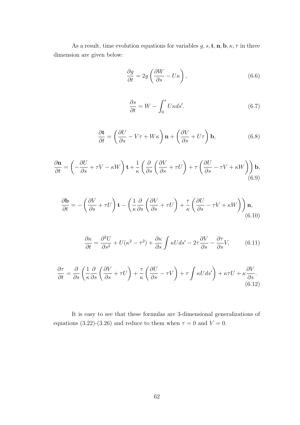As a result, time evolution equations for variables  $g, s, \mathbf{t}, \mathbf{n}, \mathbf{b}, \kappa, \tau$  in three dimension are given below:

$$
\frac{\partial g}{\partial t} = 2g \left( \frac{\partial W}{\partial s} - U\kappa \right),\tag{6.6}
$$

$$
\frac{\partial s}{\partial t} = W - \int_0^s U \kappa ds'.\tag{6.7}
$$

$$
\frac{\partial \mathbf{t}}{\partial t} = \left(\frac{\partial U}{\partial s} - V\tau + W\kappa\right) \mathbf{n} + \left(\frac{\partial V}{\partial s} + U\tau\right) \mathbf{b},\tag{6.8}
$$

$$
\frac{\partial \mathbf{n}}{\partial t} = \left( -\frac{\partial U}{\partial s} + \tau V - \kappa W \right) \mathbf{t} + \frac{1}{\kappa} \left( \frac{\partial}{\partial s} \left( \frac{\partial V}{\partial s} + \tau U \right) + \tau \left( \frac{\partial U}{\partial s} - \tau V + \kappa W \right) \right) \mathbf{b},\tag{6.9}
$$

$$
\frac{\partial \mathbf{b}}{\partial t} = -\left(\frac{\partial V}{\partial s} + \tau U\right) \mathbf{t} - \left(\frac{1}{\kappa} \frac{\partial}{\partial s} \left(\frac{\partial V}{\partial s} + \tau U\right) + \frac{\tau}{\kappa} \left(\frac{\partial U}{\partial s} - \tau V + \kappa W\right)\right) \mathbf{n},\tag{6.10}
$$

$$
\frac{\partial \kappa}{\partial t} = \frac{\partial^2 U}{\partial s^2} + U(\kappa^2 - \tau^2) + \frac{\partial \kappa}{\partial s} \int \kappa U ds' - 2\tau \frac{\partial V}{\partial s} - \frac{\partial \tau}{\partial s} V,\tag{6.11}
$$

$$
\frac{\partial \tau}{\partial t} = \frac{\partial}{\partial s} \left( \frac{1}{\kappa} \frac{\partial}{\partial s} \left( \frac{\partial V}{\partial s} + \tau U \right) + \frac{\tau}{\kappa} \left( \frac{\partial U}{\partial s} - \tau V \right) + \tau \int \kappa U ds' \right) + \kappa \tau U + \kappa \frac{\partial V}{\partial s}.
$$
\n(6.12)

It is easy to see that these formulas are 3-dimensional generalizations of equations (3.22)-(3.26) and reduce to them when  $\tau = 0$  and  $V = 0$ .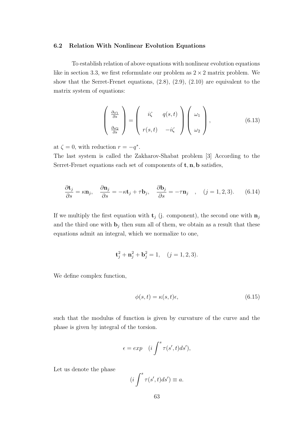#### 6.2 Relation With Nonlinear Evolution Equations

To establish relation of above equations with nonlinear evolution equations like in section 3.3, we first reformulate our problem as  $2 \times 2$  matrix problem. We show that the Serret-Frenet equations, (2.8), (2.9), (2.10) are equivalent to the matrix system of equations:

$$
\begin{pmatrix}\n\frac{\partial \omega_1}{\partial s} \\
\frac{\partial \omega_2}{\partial s}\n\end{pmatrix} = \begin{pmatrix}\ni\zeta & q(s,t) \\
r(s,t) & -i\zeta\n\end{pmatrix} \begin{pmatrix}\n\omega_1 \\
\omega_2\n\end{pmatrix},
$$
\n(6.13)

at  $\zeta = 0$ , with reduction  $r = -q^*$ .

The last system is called the Zakharov-Shabat problem [3] According to the Serret-Frenet equations each set of components of  $t, n, b$  satisfies,

$$
\frac{\partial \mathbf{t}_j}{\partial s} = \kappa \mathbf{n}_j, \quad \frac{\partial \mathbf{n}_j}{\partial s} = -\kappa \mathbf{t}_j + \tau \mathbf{b}_j, \quad \frac{\partial \mathbf{b}_j}{\partial s} = -\tau \mathbf{n}_j \quad , \quad (j = 1, 2, 3). \tag{6.14}
$$

If we multiply the first equation with  $\mathbf{t}_j$  (j. component), the second one with  $\mathbf{n}_j$ and the third one with  $\mathbf{b}_j$  then sum all of them, we obtain as a result that these equations admit an integral, which we normalize to one,

$$
\mathbf{t}_j^2 + \mathbf{n}_j^2 + \mathbf{b}_j^2 = 1, \quad (j = 1, 2, 3).
$$

We define complex function,

$$
\phi(s,t) = \kappa(s,t)\epsilon,\tag{6.15}
$$

such that the modulus of function is given by curvature of the curve and the phase is given by integral of the torsion.

$$
\epsilon = exp \quad (i \int^s \tau(s',t)ds'),
$$

Let us denote the phase

$$
(i\int^s \tau(s',t)ds') \equiv a.
$$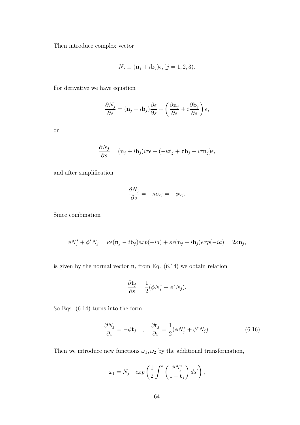Then introduce complex vector

$$
N_j \equiv (\mathbf{n}_j + i\mathbf{b}_j)\epsilon, (j = 1, 2, 3).
$$

For derivative we have equation

$$
\frac{\partial N_j}{\partial s} = (\mathbf{n}_j + i\mathbf{b}_j)\frac{\partial \epsilon}{\partial s} + \left(\frac{\partial \mathbf{n}_j}{\partial s} + i\frac{\partial \mathbf{b}_j}{\partial s}\right)\epsilon,
$$

or

$$
\frac{\partial N_j}{\partial s} = (\mathbf{n}_j + i\mathbf{b}_j)i\tau\epsilon + (-\kappa \mathbf{t}_j + \tau \mathbf{b}_j - i\tau \mathbf{n}_j)\epsilon,
$$

and after simplification

$$
\frac{\partial N_j}{\partial s} = -\kappa \epsilon \mathbf{t}_j = -\phi \mathbf{t}_j.
$$

Since combination

$$
\phi N_j^* + \phi^* N_j = \kappa \epsilon (\mathbf{n}_j - i \mathbf{b}_j) exp(-ia) + \kappa \epsilon (\mathbf{n}_j + i \mathbf{b}_j) exp(-ia) = 2\kappa \mathbf{n}_j,
$$

is given by the normal vector  $n$ , from Eq.  $(6.14)$  we obtain relation

$$
\frac{\partial \mathbf{t}_j}{\partial s} = \frac{1}{2} (\phi N_j^* + \phi^* N_j).
$$

So Eqs. (6.14) turns into the form,

$$
\frac{\partial N_j}{\partial s} = -\phi \mathbf{t}_j \quad , \quad \frac{\partial \mathbf{t}_j}{\partial s} = \frac{1}{2} (\phi N_j^* + \phi^* N_j). \tag{6.16}
$$

Then we introduce new functions  $\omega_1,\omega_2$  by the additional transformation,

$$
\omega_1 = N_j \quad exp\left(\frac{1}{2} \int^s \left(\frac{\phi N_j^*}{1 - \mathbf{t}_j}\right) ds'\right),\,
$$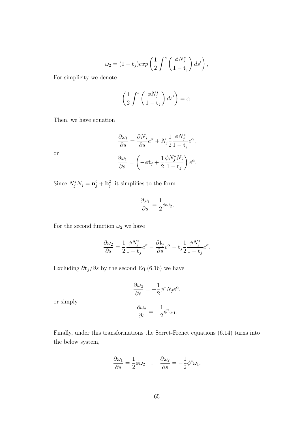$$
\omega_2 = (1 - \mathbf{t}_j) exp\left(\frac{1}{2} \int^s \left(\frac{\phi N_j^*}{1 - \mathbf{t}_j}\right) ds'\right),
$$

For simplicity we denote

$$
\left(\frac{1}{2}\int^s \left(\frac{\phi N_j^*}{1-\mathbf{t}_j}\right) ds'\right) = \alpha.
$$

Then, we have equation

$$
\frac{\partial \omega_1}{\partial s} = \frac{\partial N_j}{\partial s} e^{\alpha} + N_j \frac{1}{2} \frac{\phi N_j^*}{1 - \mathbf{t}_j} e^{\alpha},
$$

$$
\frac{\partial \omega_1}{\partial s} = \left( -\phi \mathbf{t}_j + \frac{1}{2} \frac{\phi N_j^* N_j}{1 - \mathbf{t}_j} \right) e^{\alpha}.
$$

or

Since 
$$
N_j^* N_j = \mathbf{n}_j^2 + \mathbf{b}_j^2
$$
, it simplifies to the form

$$
\frac{\partial \omega_1}{\partial s} = \frac{1}{2} \phi \omega_2,
$$

For the second function  $\omega_2$  we have

$$
\frac{\partial \omega_2}{\partial s} = \frac{1}{2} \frac{\phi N_j^*}{1 - \mathbf{t}_j} e^{\alpha} - \frac{\partial \mathbf{t}_j}{\partial s} e^{\alpha} - \mathbf{t}_j \frac{1}{2} \frac{\phi N_j^*}{1 - \mathbf{t}_j} e^{\alpha}.
$$

Excluding  $\partial \mathbf{t}_j/\partial s$  by the second Eq.(6.16) we have

$$
\frac{\partial \omega_2}{\partial s} = -\frac{1}{2} \phi^* N_j e^{\alpha},
$$

$$
\frac{\partial \omega_2}{\partial s} = -\frac{1}{2} \phi^* \omega_1.
$$

or simply

Finally, under this transformations the Serret-Frenet equations 
$$
(6.14)
$$
 turns into the below system,

$$
\frac{\partial \omega_1}{\partial s} = \frac{1}{2} \phi \omega_2 \quad , \quad \frac{\partial \omega_2}{\partial s} = -\frac{1}{2} \phi^* \omega_1.
$$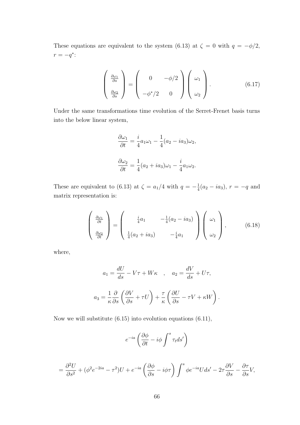These equations are equivalent to the system (6.13) at  $\zeta = 0$  with  $q = -\phi/2$ ,  $r = -q^*$ :

$$
\begin{pmatrix}\n\frac{\partial \omega_1}{\partial s} \\
\frac{\partial \omega_2}{\partial s}\n\end{pmatrix} = \begin{pmatrix}\n0 & -\phi/2 \\
-\phi^*/2 & 0\n\end{pmatrix} \begin{pmatrix}\n\omega_1 \\
\omega_2\n\end{pmatrix}.
$$
\n(6.17)

Under the same transformations time evolution of the Serret-Frenet basis turns into the below linear system,

$$
\frac{\partial \omega_1}{\partial t} = \frac{i}{4} a_1 \omega_1 - \frac{1}{4} (a_2 - i a_3) \omega_2,
$$
  

$$
\frac{\partial \omega_2}{\partial t} = \frac{1}{4} (a_2 + i a_3) \omega_1 - \frac{i}{4} a_1 \omega_2.
$$

These are equivalent to (6.13) at  $\zeta = a_1/4$  with  $q = -\frac{1}{4}$  $\frac{1}{4}(a_2 - ia_3), r = -q$  and matrix representation is:

$$
\begin{pmatrix}\n\frac{\partial \omega_1}{\partial t} \\
\frac{\partial \omega_2}{\partial t}\n\end{pmatrix} = \begin{pmatrix}\n\frac{i}{4}a_1 & -\frac{1}{4}(a_2 - ia_3) \\
\frac{1}{4}(a_2 + ia_3) & -\frac{i}{4}a_1\n\end{pmatrix} \begin{pmatrix}\n\omega_1 \\
\omega_2\n\end{pmatrix},
$$
\n(6.18)

where,

$$
a_1 = \frac{dU}{ds} - V\tau + W\kappa \quad , \quad a_2 = \frac{dV}{ds} + U\tau,
$$
  

$$
a_3 = \frac{1}{\kappa} \frac{\partial}{\partial s} \left( \frac{\partial V}{\partial s} + \tau U \right) + \frac{\tau}{\kappa} \left( \frac{\partial U}{\partial s} - \tau V + \kappa W \right).
$$

Now we will substitute (6.15) into evolution equations (6.11),

$$
e^{-ia}\left(\frac{\partial\phi}{\partial t}-i\phi\int^s\tau_t ds'\right)
$$

$$
= \frac{\partial^2 U}{\partial s^2} + (\phi^2 e^{-2ia} - \tau^2)U + e^{-ia} \left(\frac{\partial \phi}{\partial s} - i\phi\tau\right) \int^s \phi e^{-ia} U ds' - 2\tau \frac{\partial V}{\partial s} - \frac{\partial \tau}{\partial s}V,
$$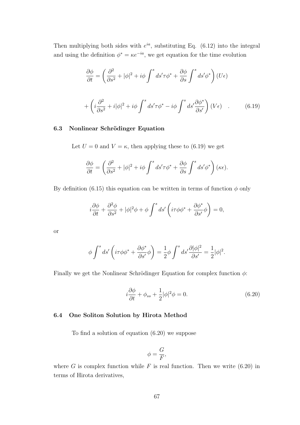Then multiplying both sides with  $e^{ia}$ , substituting Eq. (6.12) into the integral and using the definition  $\phi^* = \kappa e^{-ia}$ , we get equation for the time evolution

$$
\frac{\partial \phi}{\partial t} = \left(\frac{\partial^2}{\partial s^2} + |\phi|^2 + i\phi \int^s ds' \tau \phi^* + \frac{\partial \phi}{\partial s} \int^s ds' \phi^* \right) (U\epsilon)
$$

$$
+ \left( i \frac{\partial^2}{\partial s^2} + i|\phi|^2 + i\phi \int^s ds' \tau \phi^* - i\phi \int^s ds' \frac{\partial \phi^*}{\partial s'} \right) (V\epsilon) \quad . \tag{6.19}
$$

#### 6.3 Nonlinear Schrödinger Equation

Let  $U = 0$  and  $V = \kappa$ , then applying these to (6.19) we get

$$
\frac{\partial \phi}{\partial t} = \left(\frac{\partial^2}{\partial s^2} + |\phi|^2 + i\phi \int^s ds' \tau \phi^* + \frac{\partial \phi}{\partial s} \int^s ds' \phi^* \right) (\kappa \epsilon).
$$

By definition (6.15) this equation can be written in terms of function  $\phi$  only

$$
i\frac{\partial \phi}{\partial t} + \frac{\partial^2 \phi}{\partial s^2} + |\phi|^2 \phi + \phi \int^s ds' \left( i\tau \phi \phi^* + \frac{\partial \phi^*}{\partial s'} \phi \right) = 0,
$$

or

$$
\phi \int^s ds' \left( i\tau \phi \phi^* + \frac{\partial \phi^*}{\partial s'} \phi \right) = \frac{1}{2} \phi \int^s ds' \frac{\partial |\phi|^2}{\partial s'} = \frac{1}{2} |\phi|^2.
$$

Finally we get the Nonlinear Schrödinger Equation for complex function  $\phi$ :

$$
i\frac{\partial \phi}{\partial t} + \phi_{ss} + \frac{1}{2}|\phi|^2 \phi = 0.
$$
 (6.20)

### 6.4 One Soliton Solution by Hirota Method

To find a solution of equation (6.20) we suppose

$$
\phi = \frac{G}{F},
$$

where G is complex function while F is real function. Then we write  $(6.20)$  in terms of Hirota derivatives,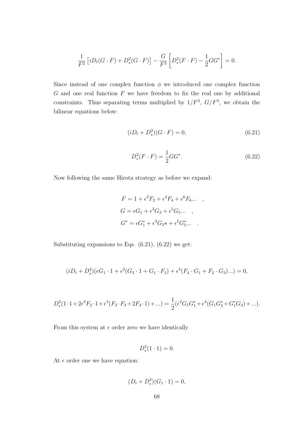$$
\frac{1}{F^2} \left[ i D_t(G \cdot F) + D_s^2(G \cdot F) \right] - \frac{G}{F^3} \left[ D_s^2(F \cdot F) - \frac{1}{2} G G^* \right] = 0.
$$

Since instead of one complex function  $\phi$  we introduced one complex function  $G$  and one real function  $F$  we have freedom to fix the real one by additional constraints. Thus separating terms multiplied by  $1/F^2$ ,  $G/F^3$ , we obtain the bilinear equations below:

$$
(iD_t + D_s^2)(G \cdot F) = 0,\t(6.21)
$$

$$
D_s^2(F \cdot F) = \frac{1}{2} G G^*.
$$
\n(6.22)

Now following the same Hirota strategy as before we expand:

$$
F = 1 + \epsilon^2 F_2 + \epsilon^4 F_4 + \epsilon^6 F_6 \dots ,
$$
  
\n
$$
G = \epsilon G_1 + \epsilon^3 G_3 + \epsilon^5 G_5 \dots ,
$$
  
\n
$$
G^* = \epsilon G_1^* + \epsilon^3 G_3^* + \epsilon^5 G_5^* \dots .
$$

Substituting expansions to Eqs.  $(6.21)$ ,  $(6.22)$  we get:

$$
(iD_t + D_s^2)(\epsilon G_1 \cdot 1 + \epsilon^3 (G_3 \cdot 1 + G_1 \cdot F_2) + \epsilon^5 (F_4 \cdot G_1 + F_2 \cdot G_3)...)= 0,
$$

$$
D_s^2(1 \cdot 1 + 2\epsilon^2 F_2 \cdot 1 + \epsilon^4 (F_3 \cdot F_3 + 2F_4 \cdot 1) + \ldots) = \frac{1}{2} (\epsilon^2 G_1 G_1^* + \epsilon^4 (G_1 G_3^* + G_1^* G_3) + \ldots).
$$

From this system at  $\epsilon$  order zero we have identically

$$
D_s^2(1\cdot 1)=0.
$$

At  $\epsilon$  order one we have equation:

$$
(D_t + D_s^2)(G_1 \cdot 1) = 0,
$$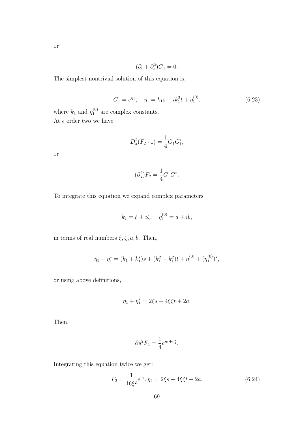$$
(\partial_t + \partial_s^2)G_1 = 0.
$$

The simplest nontrivial solution of this equation is,

$$
G_1 = e^{\eta_1}, \quad \eta_1 = k_1 s + i k_1^2 t + \eta_1^{(0)}.
$$
 (6.23)

where  $k_1$  and  $\eta_1^{(0)}$  $_1^{(0)}$  are complex constants. At  $\epsilon$  order two we have

$$
D_s^2(F_2 \cdot 1) = \frac{1}{4}G_1G_1^*,
$$

or

$$
(\partial_s^2)F_2 = \frac{1}{4}G_1G_1^*.
$$

To integrate this equation we expand complex parameters

$$
k_1 = \xi + i\zeta
$$
,  $\eta_1^{(0)} = a + ib$ ,

in terms of real numbers  $\xi, \zeta, a, b.$  Then,

$$
\eta_1 + \eta_1^* = (k_1 + k_1^*)s + (k_1^2 - k_1^2)t + \eta_1^{(0)} + (\eta_1^{(0)})^*,
$$

or using above definitions,

$$
\eta_1 + \eta_1^* = 2\xi s - 4\xi \zeta t + 2a.
$$

Then,

$$
\partial s^2 F_2 = \frac{1}{4} e^{\eta_1 + \eta_1^*}.
$$

Integrating this equation twice we get:

$$
F_2 = \frac{1}{16\xi^2}e^{\eta_2}, \eta_2 = 2\xi s - 4\xi\zeta t + 2a,
$$
\n(6.24)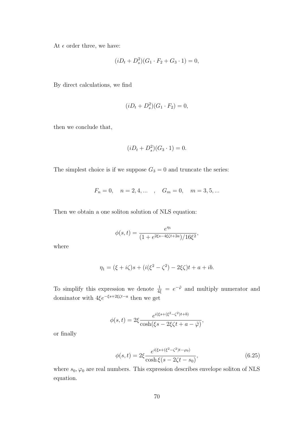At  $\epsilon$  order three, we have:

$$
(iD_t + D_s^2)(G_1 \cdot F_2 + G_3 \cdot 1) = 0,
$$

By direct calculations, we find

$$
(iD_t + D_s^2)(G_1 \cdot F_2) = 0,
$$

then we conclude that,

$$
(iD_t + D_s^2)(G_3 \cdot 1) = 0.
$$

The simplest choice is if we suppose  $G_3 = 0$  and truncate the series:

$$
F_n = 0
$$
,  $n = 2, 4, ...$ ,  $G_m = 0$ ,  $m = 3, 5, ...$ 

Then we obtain a one soliton solution of NLS equation:

$$
\phi(s,t)=\frac{e^{\eta_1}}{(1+e^{2\xi s-4\xi \zeta t+2a})/16\xi^2},
$$

where

$$
\eta_1 = (\xi + i\zeta)s + (i(\xi^2 - \zeta^2) - 2\xi\zeta)t + a + ib.
$$

To simplify this expression we denote  $\frac{1}{4\xi} = e^{-\tilde{\varphi}}$  and multiply numerator and dominator with  $4\xi e^{-\xi s+2\xi \zeta t-a}$  then we get

$$
\phi(s,t) = 2\xi \frac{e^{i(\xi s + (\xi^2 - \zeta^2)t + b)}}{\cosh(\xi s - 2\xi \zeta t + a - \tilde{\varphi})},
$$

or finally

$$
\phi(s,t) = 2\xi \frac{e^{i(\xi s + (\xi^2 - \zeta^2)t - \varphi_0)}}{\cosh \xi (s - 2\zeta t - s_0)},
$$
\n(6.25)

where  $s_0, \varphi_0$  are real numbers. This expression describes envelope soliton of NLS equation.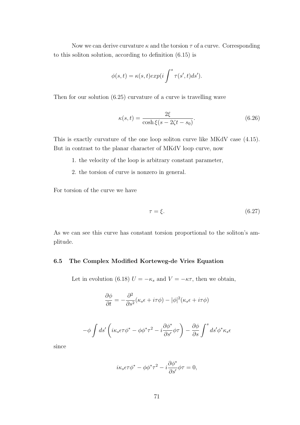Now we can derive curvature  $\kappa$  and the torsion  $\tau$  of a curve. Corresponding to this soliton solution, according to definition (6.15) is

$$
\phi(s,t) = \kappa(s,t) exp(i \int^s \tau(s',t) ds').
$$

Then for our solution (6.25) curvature of a curve is travelling wave

$$
\kappa(s,t) = \frac{2\xi}{\cosh\xi(s - 2\zeta t - s_0)}.\tag{6.26}
$$

This is exactly curvature of the one loop soliton curve like MKdV case (4.15). But in contrast to the planar character of MKdV loop curve, now

1. the velocity of the loop is arbitrary constant parameter,

2. the torsion of curve is nonzero in general.

For torsion of the curve we have

$$
\tau = \xi. \tag{6.27}
$$

As we can see this curve has constant torsion proportional to the soliton's amplitude.

## 6.5 The Complex Modified Korteweg-de Vries Equation

Let in evolution (6.18)  $U = -\kappa_s$  and  $V = -\kappa \tau$ , then we obtain,

$$
\frac{\partial \phi}{\partial t} = -\frac{\partial^2}{\partial s^2} (\kappa_s \epsilon + i\tau \phi) - |\phi|^2 (\kappa_s \epsilon + i\tau \phi)
$$

$$
-\phi \int ds' \left( i\kappa_s \epsilon \tau \phi^* - \phi \phi^* \tau^2 - i \frac{\partial \phi^*}{\partial s'} \phi \tau \right) - \frac{\partial \phi}{\partial s} \int^s ds' \phi^* \kappa_s \epsilon
$$

since

$$
i\kappa_s \epsilon \tau \phi^* - \phi \phi^* \tau^2 - i \frac{\partial \phi^*}{\partial s'} \phi \tau = 0,
$$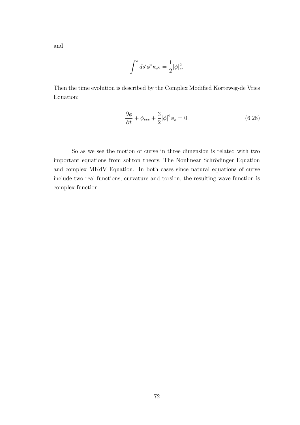and

$$
\int^s ds' \phi^* \kappa_s \epsilon = \frac{1}{2} |\phi|_s^2.
$$

Then the time evolution is described by the Complex Modified Korteweg-de Vries Equation:

$$
\frac{\partial \phi}{\partial t} + \phi_{sss} + \frac{3}{2} |\phi|^2 \phi_s = 0.
$$
 (6.28)

So as we see the motion of curve in three dimension is related with two important equations from soliton theory, The Nonlinear Schrödinger Equation and complex MKdV Equation. In both cases since natural equations of curve include two real functions, curvature and torsion, the resulting wave function is complex function.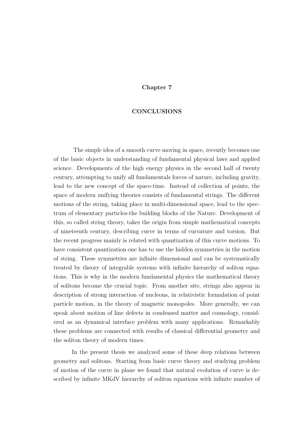## Chapter 7

#### CONCLUSIONS

The simple idea of a smooth curve moving in space, recently becomes one of the basic objects in understanding of fundamental physical laws and applied science. Developments of the high energy physics in the second half of twenty century, attempting to unify all fundamentals forces of nature, including gravity, lead to the new concept of the space-time. Instead of collection of points, the space of modern unifying theories consists of fundamental strings. The different motions of the string, taking place in multi-dimensional space, lead to the spectrum of elementary particles-the building blocks of the Nature. Development of this, so called string theory, takes the origin from simple mathematical concepts of nineteenth century, describing curve in terms of curvature and torsion. But the recent progress mainly is related with quantization of this curve motions. To have consistent quantization one has to use the hidden symmetries in the motion of string. These symmetries are infinite dimensional and can be systematically treated by theory of integrable systems with infinite hierarchy of soliton equations. This is why in the modern fundamental physics the mathematical theory of solitons become the crucial topic. From another site, strings also appear in description of strong interaction of nucleons, in relativistic formulation of point particle motion, in the theory of magnetic monopoles. More generally, we can speak about motion of line defects in condensed matter and cosmology, considered as an dynamical interface problem with many applications. Remarkably these problems are connected with results of classical differential geometry and the soliton theory of modern times.

In the present thesis we analyzed some of these deep relations between geometry and solitons. Starting from basic curve theory and studying problem of motion of the curve in plane we found that natural evolution of curve is described by infinite MKdV hierarchy of soliton equations with infinite number of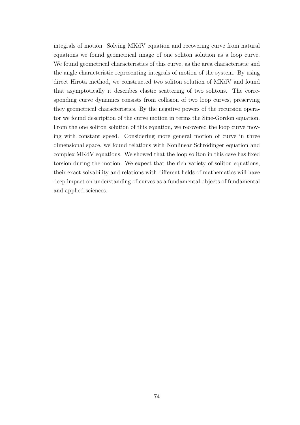integrals of motion. Solving MKdV equation and recovering curve from natural equations we found geometrical image of one soliton solution as a loop curve. We found geometrical characteristics of this curve, as the area characteristic and the angle characteristic representing integrals of motion of the system. By using direct Hirota method, we constructed two soliton solution of MKdV and found that asymptotically it describes elastic scattering of two solitons. The corresponding curve dynamics consists from collision of two loop curves, preserving they geometrical characteristics. By the negative powers of the recursion operator we found description of the curve motion in terms the Sine-Gordon equation. From the one soliton solution of this equation, we recovered the loop curve moving with constant speed. Considering more general motion of curve in three dimensional space, we found relations with Nonlinear Schrödinger equation and complex MKdV equations. We showed that the loop soliton in this case has fixed torsion during the motion. We expect that the rich variety of soliton equations, their exact solvability and relations with different fields of mathematics will have deep impact on understanding of curves as a fundamental objects of fundamental and applied sciences.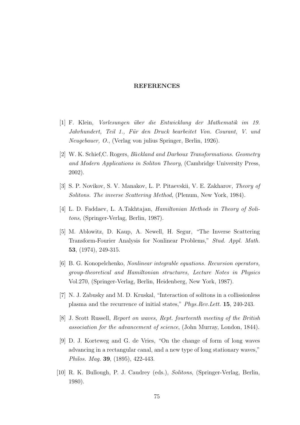#### REFERENCES

- [1] F. Klein, *Vorlesungen über die Entwicklung der Mathematik im 19.* Jahrhundert, Teil 1., Fur¨ den Druck bearbeitet Von. Courant, V. und Neugebauer, O., (Verlag von julius Springer, Berlin, 1926).
- [2] W. K. Schief, C. Rogers, Bäckland and Darboux Transformations. Geometry and Modern Applications in Soliton Theory, (Cambridge University Press, 2002).
- [3] S. P. Novikov, S. V. Manakov, L. P. Pitaevskii, V. E. Zakharov, Theory of Solitons. The inverse Scattering Method, (Plenum, New York, 1984).
- [4] L. D. Faddaev, L. A.Takhtajan, Hamiltonian Methods in Theory of Solitons, (Springer-Verlag, Berlin, 1987).
- [5] M. Ablowitz, D. Kaup, A. Newell, H. Segur, "The Inverse Scattering Transform-Fourier Analysis for Nonlinear Problems," Stud. Appl. Math. 53, (1974), 249-315.
- [6] B. G. Konopelchenko, Nonlinear integrable equations. Recursion operators, group-theoretical and Hamiltonian structures, Lecture Notes in Physics Vol.270, (Springer-Verlag, Berlin, Heidenberg, New York, 1987).
- [7] N. J. Zabusky and M. D. Kruskal, "Interaction of solitons in a collissionless plasma and the recurrence of initial states," Phys.Rev.Lett. 15, 240-243.
- [8] J. Scott Russell, Report on waves, Rept. fourteenth meeting of the British association for the advancement of science, (John Murray, London, 1844).
- [9] D. J. Korteweg and G. de Vries, "On the change of form of long waves advancing in a rectangular canal, and a new type of long stationary waves," Philos. Mag. 39, (1895), 422-443.
- [10] R. K. Bullough, P. J. Caudrey (eds.), Solitons, (Springer-Verlag, Berlin, 1980).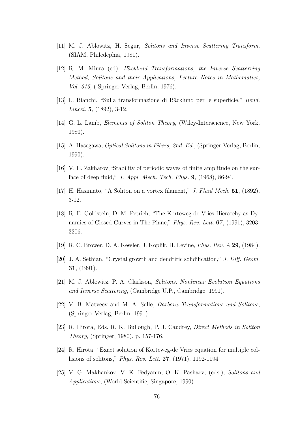- [11] M. J. Ablowitz, H. Segur, Solitons and Inverse Scattering Transform, (SIAM, Philedephia, 1981).
- [12] R. M. Miura (ed), *Bäcklund Transformations*, the Inverse Scatterring Method, Solitons and their Applications, Lecture Notes in Mathematics, Vol. 515, ( Springer-Verlag, Berlin, 1976).
- [13] L. Bianchi, "Sulla transformazione di Ba¨cklund per le superficie," Rend. Lincei. 5, (1892), 3-12.
- [14] G. L. Lamb, Elements of Soliton Theory, (Wiley-Interscience, New York, 1980).
- [15] A. Hasegawa, Optical Solitons in Fibers, 2nd. Ed., (Springer-Verlag, Berlin, 1990).
- [16] V. E. Zakharov,"Stability of periodic waves of finite amplitude on the surface of deep fluid," J. Appl. Mech. Tech. Phys. 9, (1968), 86-94.
- [17] H. Hasimato, "A Soliton on a vortex filament," J. Fluid Mech. 51, (1892), 3-12.
- [18] R. E. Goldstein, D. M. Petrich, "The Korteweg-de Vries Hierarchy as Dynamics of Closed Curves in The Plane," Phys. Rev. Lett. 67, (1991), 3203- 3206.
- [19] R. C. Brower, D. A. Kessler, J. Koplik, H. Levine, Phys. Rev. A 29, (1984).
- [20] J. A. Sethian, "Crystal growth and dendritic solidification," J. Diff. Geom. 31, (1991).
- [21] M. J. Ablowitz, P. A. Clarkson, Solitons, Nonlinear Evolution Equations and Inverse Scattering, (Cambridge U.P., Cambridge, 1991).
- [22] V. B. Matveev and M. A. Salle, Darboux Transformations and Solitons, (Springer-Verlag, Berlin, 1991).
- [23] R. Hirota, Eds. R. K. Bullough, P. J. Caudrey, Direct Methods in Soliton Theory, (Springer, 1980), p. 157-176.
- [24] R. Hirota, "Exact solution of Korteweg-de Vries equation for multiple collisions of solitons," Phys. Rev. Lett. 27, (1971), 1192-1194.
- [25] V. G. Makhankov, V. K. Fedyanin, O. K. Pashaev, (eds.), Solitons and Applications, (World Scientific, Singapore, 1990).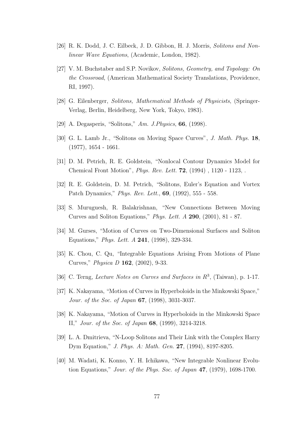- [26] R. K. Dodd, J. C. Eilbeck, J. D. Gibbon, H. J. Morris, Solitons and Nonlinear Wave Equations, (Academic, London, 1982).
- [27] V. M. Buchstaber and S.P. Novikov, Solitons, Geometry, and Topology: On the Crossroad, (American Mathematical Society Translations, Providence, RI, 1997).
- [28] G. Eilenberger, Solitons, Mathematical Methods of Physicists, (Springer-Verlag, Berlin, Heidelberg, New York, Tokyo, 1983).
- [29] A. Degasperis, "Solitons," Am. J. Physics, 66, (1998).
- [30] G. L. Lamb Jr., "Solitons on Moving Space Curves", J. Math. Phys. 18, (1977), 1654 - 1661.
- [31] D. M. Petrich, R. E. Goldstein, "Nonlocal Contour Dynamics Model for Chemical Front Motion", Phys. Rev. Lett. 72, (1994) , 1120 - 1123, .
- [32] R. E. Goldstein, D. M. Petrich, "Solitons, Euler's Equation and Vortex Patch Dynamics," Phys. Rev. Lett., 69, (1992), 555 - 558.
- [33] S. Muruguesh, R. Balakrishnan, "New Connections Between Moving Curves and Soliton Equations," Phys. Lett. A 290, (2001), 81 - 87.
- [34] M. Gurses, "Motion of Curves on Two-Dimensional Surfaces and Soliton Equations," Phys. Lett. A 241, (1998), 329-334.
- [35] K. Chou, C. Qu, "Integrable Equations Arising From Motions of Plane Curves," Physica D 162, (2002), 9-33.
- [36] C. Terng, Lecture Notes on Curves and Surfaces in  $R^3$ , (Taiwan), p. 1-17.
- [37] K. Nakayama, "Motion of Curves in Hyperboloids in the Minkowski Space," Jour. of the Soc. of Japan 67, (1998), 3031-3037.
- [38] K. Nakayama, "Motion of Curves in Hyperboloids in the Minkowski Space II," Jour. of the Soc. of Japan 68, (1999), 3214-3218.
- [39] L. A. Dmitrieva, "N-Loop Solitons and Their Link with the Complex Harry Dym Equation," J. Phys. A: Math. Gen. 27, (1994), 8197-8205.
- [40] M. Wadati, K. Konno, Y. H. Ichikawa, "New Integrable Nonlinear Evolution Equations," Jour. of the Phys. Soc. of Japan 47, (1979), 1698-1700.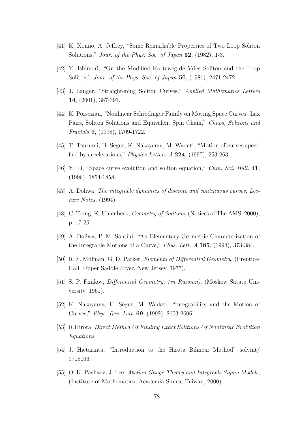- [41] K. Konno, A. Jeffrey, "Some Remarkable Properties of Two Loop Soliton Solutions," *Jour. of the Phys. Soc. of Japan* 52, (1982), 1-3.
- [42] Y. Ishimori, "On the Modified Korteweg-de Vries Soliton and the Loop Soliton," Jour. of the Phys. Soc. of Japan 50, (1981), 2471-2472.
- [43] J. Langer, "Straightening Soliton Curves," Applied Mathematics Letters 14, (2001), 387-391.
- [44] K. Porsezian, "Nonlinear Schrödinger Family on Moving Space Curves: Lax Pairs, Soliton Solutions and Equivalent Spin Chain," Chaos, Solitons and Fractals 9, (1998), 1709-1722.
- [45] T. Tsurumi, H. Segur, K. Nakayama, M. Wadati, "Motion of curves specified by accelerations," Physics Letters A 224, (1997), 253-263.
- [46] Y. Li, "Space curve evolution and soliton equation," Chin. Sci. Bull. 41, (1996), 1854-1858.
- [47] A. Doliwa, The integrable dynamics of discrete and continuous curves, Lecture Notes, (1994).
- [48] C. Terng, K. Uhlenbeck, *Geometry of Solitons*, (Notices of The AMS, 2000), p. 17-25.
- [49] A. Doliwa, P. M. Santini, "An Elementary Geometric Characterization of the Integrable Motions of a Curve," Phys. Lett. A 185, (1994), 373-384.
- [50] R. S. Millman, G. D. Parker, Elements of Differential Geometry, (Prentice-Hall, Upper Saddle River, New Jersey, 1977).
- [51] S. P. Finikov, Differential Geometry, (in Russian), (Moskow Satate University, 1961).
- [52] K. Nakayama, H. Segur, M. Wadati, "Integrability and the Motion of Curves," Phys. Rev. Lett. 69, (1992), 2603-2606.
- [53] R.Hirota, Direct Method Of Finding Exact Solitions Of Nonlinear Evolution Equations.
- [54] J. Hietarinta, "Introduction to the Hirota Bilinear Method" solvint/ 9708006.
- [55] O. K. Pashaev, J. Lee, Abelian Gauge Theory and Integrable Sigma Models, (Institute of Mathematics, Academia Sinica, Taiwan, 2000).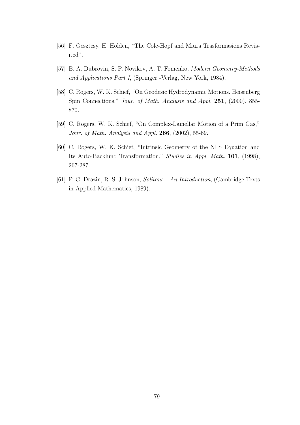- [56] F. Gesztesy, H. Holden, "The Cole-Hopf and Miura Trasformasions Revisited".
- [57] B. A. Dubrovin, S. P. Novikov, A. T. Fomenko, Modern Geometry-Methods and Applications Part I, (Springer -Verlag, New York, 1984).
- [58] C. Rogers, W. K. Schief, "On Geodesic Hydrodynamic Motions. Heisenberg Spin Connections," Jour. of Math. Analysis and Appl. 251, (2000), 855-870.
- [59] C. Rogers, W. K. Schief, "On Complex-Lamellar Motion of a Prim Gas," Jour. of Math. Analysis and Appl. 266, (2002), 55-69.
- [60] C. Rogers, W. K. Schief, "Intrinsic Geometry of the NLS Equation and Its Auto-Backlund Transformation," Studies in Appl. Math. 101, (1998), 267-287.
- [61] P. G. Drazin, R. S. Johnson, Solitons : An Introduction, (Cambridge Texts in Applied Mathematics, 1989).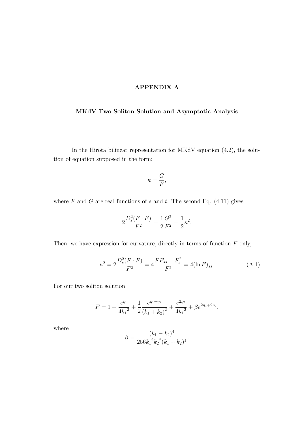## APPENDIX A

# MKdV Two Soliton Solution and Asymptotic Analysis

In the Hirota bilinear representation for MKdV equation (4.2), the solution of equation supposed in the form:

$$
\kappa = \frac{G}{F},
$$

where  $F$  and  $G$  are real functions of  $s$  and  $t$ . The second Eq. (4.11) gives

$$
2\frac{D_s^2(F \cdot F)}{F^2} = \frac{1}{2}\frac{G^2}{F^2} = \frac{1}{2}\kappa^2.
$$

Then, we have expression for curvature, directly in terms of function  $F$  only,

$$
\kappa^2 = 2\frac{D_s^2(F \cdot F)}{F^2} = 4\frac{FF_{ss} - F_s^2}{F^2} = 4(\ln F)_{ss}.
$$
 (A.1)

For our two soliton solution,

$$
F = 1 + \frac{e^{\eta_1}}{4k_1^2} + \frac{1}{2} \frac{e^{\eta_1 + \eta_2}}{\left(k_1 + k_2\right)^2} + \frac{e^{2\eta_2}}{4k_1^2} + \beta e^{2\eta_1 + 2\eta_2},
$$

where

$$
\beta = \frac{(k_1 - k_2)^4}{256k_1^2k_2^2(k_1 + k_2)^4}.
$$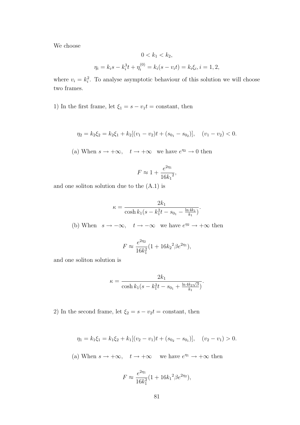We choose

$$
0 < k_1 < k_2,
$$
\n
$$
\eta_i = k_i s - k_i^3 t + \eta_i^{(0)} = k_i (s - v_i t) = k_i \xi_i, i = 1, 2,
$$

where  $v_i = k_i^2$ . To analyse asymptotic behaviour of this solution we will choose two frames.

1) In the first frame, let  $\xi_1 = s - v_1 t = \text{constant}$ , then

$$
\eta_2 = k_2 \xi_2 = k_2 \xi_1 + k_2 [(v_1 - v_2)t + (s_{0_1} - s_{0_2})], \quad (v_1 - v_2) < 0.
$$

(a) When  $s \to +\infty$ ,  $t \to +\infty$  we have  $e^{\eta_2} \to 0$  then

$$
F \approx 1 + \frac{e^{2\eta_1}}{16k_1^2},
$$

and one soliton solution due to the (A.1) is

$$
\kappa = \frac{2k_1}{\cosh k_1 (s - k_1^2 t - s_{0_1} - \frac{\ln 4k_1}{k_1})}.
$$

(b) When  $s \to -\infty$ ,  $t \to -\infty$  we have  $e^{\eta_2} \to +\infty$  then

$$
F \approx \frac{e^{2\eta_2}}{16k_1^2} (1 + 16k_2^2 \beta e^{2\eta_1}),
$$

and one soliton solution is

$$
\kappa = \frac{2k_1}{\cosh k_1(s - k_1^2 t - s_{0_1} + \frac{\ln 4k_2\sqrt{\beta}}{k_1})}
$$

.

2) In the second frame, let  $\xi_2 = s - v_2t = \text{constant}$ , then

$$
\eta_1 = k_1 \xi_1 = k_1 \xi_2 + k_1 [(v_2 - v_1)t + (s_{0_2} - s_{0_1})], \quad (v_2 - v_1) > 0.
$$

(a) When  $s \to +\infty$ ,  $t \to +\infty$  we have  $e^{\eta_1} \to +\infty$  then

$$
F \approx \frac{e^{2\eta_1}}{16k_1^2} (1 + 16k_1^2 \beta e^{2\eta_2}),
$$